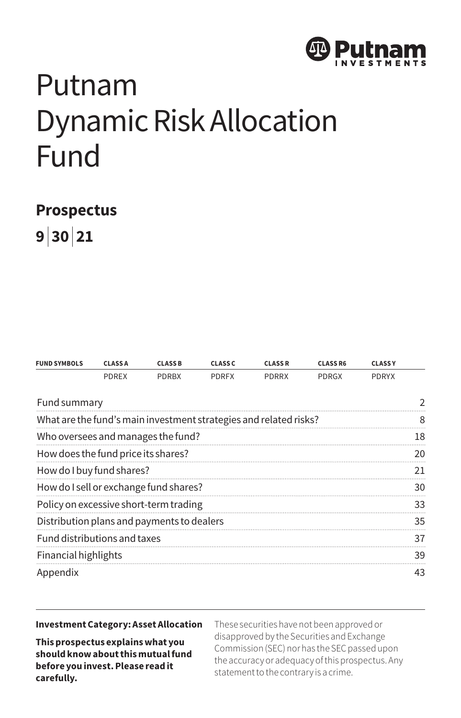

# Putnam Dynamic Risk Allocation Fund

# **Prospectus**

**9 | 30 | 21**

| <b>PDREX</b><br><b>PDRGX</b><br><b>PDRYX</b><br><b>PDRBX</b><br><b>PDRFX</b><br><b>PDRRX</b><br>Fund summary<br>What are the fund's main investment strategies and related risks?<br>Who oversees and manages the fund?<br>How does the fund price its shares?<br>How do I buy fund shares?<br>How do I sell or exchange fund shares?<br>Policy on excessive short-term trading<br>Distribution plans and payments to dealers<br>Fund distributions and taxes<br>Financial highlights<br>Appendix | <b>FUND SYMBOLS</b> | <b>CLASSA</b> | <b>CLASS B</b> | <b>CLASS C</b> | <b>CLASSR</b> | <b>CLASS R6</b> | <b>CLASSY</b> |               |
|---------------------------------------------------------------------------------------------------------------------------------------------------------------------------------------------------------------------------------------------------------------------------------------------------------------------------------------------------------------------------------------------------------------------------------------------------------------------------------------------------|---------------------|---------------|----------------|----------------|---------------|-----------------|---------------|---------------|
|                                                                                                                                                                                                                                                                                                                                                                                                                                                                                                   |                     |               |                |                |               |                 |               |               |
|                                                                                                                                                                                                                                                                                                                                                                                                                                                                                                   |                     |               |                |                |               |                 |               | $\mathcal{P}$ |
|                                                                                                                                                                                                                                                                                                                                                                                                                                                                                                   |                     |               |                |                |               |                 |               | 8             |
|                                                                                                                                                                                                                                                                                                                                                                                                                                                                                                   |                     |               |                |                |               |                 |               | 18            |
|                                                                                                                                                                                                                                                                                                                                                                                                                                                                                                   |                     |               |                |                |               |                 |               | 20            |
|                                                                                                                                                                                                                                                                                                                                                                                                                                                                                                   |                     |               |                |                |               |                 |               | 21            |
|                                                                                                                                                                                                                                                                                                                                                                                                                                                                                                   |                     |               |                |                |               |                 |               | 30            |
|                                                                                                                                                                                                                                                                                                                                                                                                                                                                                                   |                     |               |                |                |               |                 |               | 33            |
|                                                                                                                                                                                                                                                                                                                                                                                                                                                                                                   |                     |               |                |                |               |                 |               | 35            |
|                                                                                                                                                                                                                                                                                                                                                                                                                                                                                                   |                     |               |                |                |               |                 |               | 37            |
|                                                                                                                                                                                                                                                                                                                                                                                                                                                                                                   |                     |               |                |                |               |                 |               | 39            |
|                                                                                                                                                                                                                                                                                                                                                                                                                                                                                                   |                     |               |                |                |               |                 |               | 43            |

#### **Investment Category: Asset Allocation**

**This prospectus explains what you should know about this mutual fund before you invest. Please read it carefully.**

These securities have not been approved or disapproved by the Securities and Exchange Commission (SEC) nor has the SEC passed upon the accuracy or adequacy of this prospectus. Any statement to the contrary is a crime.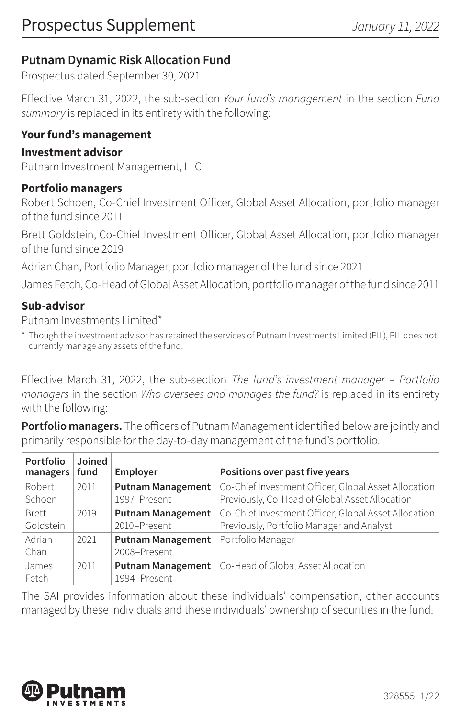# **Putnam Dynamic Risk Allocation Fund**

Prospectus dated September 30, 2021

Effective March 31, 2022, the sub-section *Your fund's management* in the section *Fund summary* is replaced in its entirety with the following:

#### **Your fund's management**

#### **Investment advisor**

Putnam Investment Management, LLC

#### **Portfolio managers**

Robert Schoen, Co-Chief Investment Officer, Global Asset Allocation, portfolio manager of the fund since 2011

Brett Goldstein, Co-Chief Investment Officer, Global Asset Allocation, portfolio manager of the fund since 2019

Adrian Chan, Portfolio Manager, portfolio manager of the fund since 2021

James Fetch, Co-Head of Global Asset Allocation, portfolio manager of the fund since 2011

#### **Sub-advisor**

Putnam Investments Limited\*

\* Though the investment advisor has retained the services of Putnam Investments Limited (PIL), PIL does not currently manage any assets of the fund.

Effective March 31, 2022, the sub-section *The fund's investment manager – Portfolio managers* in the section *Who oversees and manages the fund?* is replaced in its entirety with the following:

**Portfolio managers.** The officers of Putnam Management identified below are jointly and primarily responsible for the day-to-day management of the fund's portfolio.

| Portfolio<br>managers | Joined<br>fund | Employer                 | Positions over past five years                       |
|-----------------------|----------------|--------------------------|------------------------------------------------------|
| Robert                | 2011           | <b>Putnam Management</b> | Co-Chief Investment Officer, Global Asset Allocation |
| Schoen                |                | 1997-Present             | Previously, Co-Head of Global Asset Allocation       |
| <b>Brett</b>          | 2019           | <b>Putnam Management</b> | Co-Chief Investment Officer, Global Asset Allocation |
| Goldstein             |                | 2010-Present             | Previously, Portfolio Manager and Analyst            |
| Adrian                | 2021           | <b>Putnam Management</b> | Portfolio Manager                                    |
| Chan                  |                | 2008-Present             |                                                      |
| James                 | 2011           | <b>Putnam Management</b> | Co-Head of Global Asset Allocation                   |
| Fetch                 |                | 1994-Present             |                                                      |

The SAI provides information about these individuals' compensation, other accounts managed by these individuals and these individuals' ownership of securities in the fund.

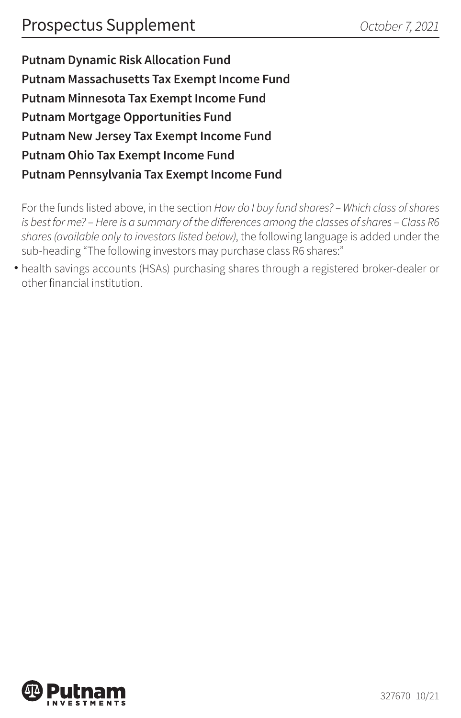**Putnam Dynamic Risk Allocation Fund Putnam Massachusetts Tax Exempt Income Fund Putnam Minnesota Tax Exempt Income Fund Putnam Mortgage Opportunities Fund Putnam New Jersey Tax Exempt Income Fund Putnam Ohio Tax Exempt Income Fund Putnam Pennsylvania Tax Exempt Income Fund**

For the funds listed above, in the section *How do I buy fund shares? – Which class of shares is best for me?* – Here is a summary of the differences among the classes of shares – Class R6 *shares (available only to investors listed below)*, the following language is added under the sub-heading "The following investors may purchase class R6 shares:"

health savings accounts (HSAs) purchasing shares through a registered broker-dealer or • other financial institution.

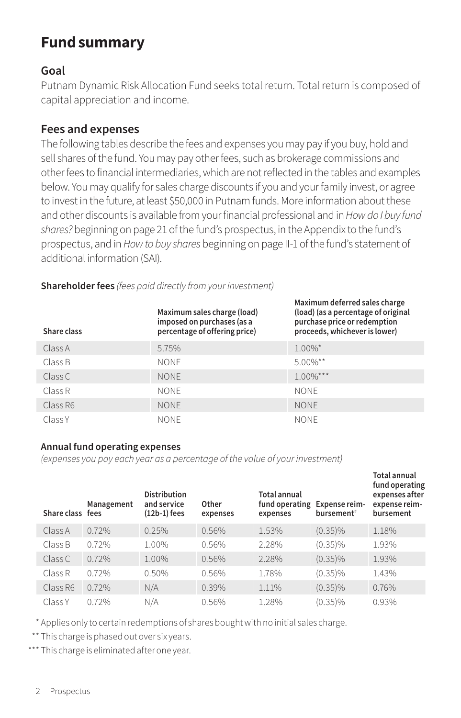# **Fund summary**

#### **Goal**

Putnam Dynamic Risk Allocation Fund seeks total return. Total return is composed of capital appreciation and income.

#### **Fees and expenses**

The following tables describe the fees and expenses you may pay if you buy, hold and sell shares of the fund. You may pay other fees, such as brokerage commissions and other fees to financial intermediaries, which are not reflected in the tables and examples below. You may qualify for sales charge discounts if you and your family invest, or agree to invest in the future, at least \$50,000 in Putnam funds. More information about these and other discounts is available from your financial professional and in *How do I buy fund shares?* beginning on page 21 of the fund's prospectus, in the Appendix to the fund's prospectus, and in *How to buy shares* beginning on page II-1 of the fund's statement of additional information (SAI).

| Share class | Maximum sales charge (load)<br>imposed on purchases (as a<br>percentage of offering price) | Maximum deferred sales charge<br>(load) (as a percentage of original<br>purchase price or redemption<br>proceeds, whichever is lower) |
|-------------|--------------------------------------------------------------------------------------------|---------------------------------------------------------------------------------------------------------------------------------------|
| Class A     | 5.75%                                                                                      | $1.00\%$ *                                                                                                                            |
| Class B     | <b>NONE</b>                                                                                | $5.00\%$ **                                                                                                                           |
| Class C     | <b>NONE</b>                                                                                | $1.00\%$ ***                                                                                                                          |
| Class R     | <b>NONE</b>                                                                                | <b>NONF</b>                                                                                                                           |
| Class R6    | <b>NONE</b>                                                                                | <b>NONE</b>                                                                                                                           |
| Class Y     | NONE.                                                                                      | <b>NONF</b>                                                                                                                           |

#### **Shareholder fees** *(fees paid directly from your investment)*

#### **Annual fund operating expenses**

*(expenses you pay each year as a percentage of the value of your investment)*

| Share class fees | Management | <b>Distribution</b><br>and service<br>$(12b-1)$ fees | Other<br>expenses | Total annual<br>fund operating<br>expenses | Expense reim-<br>bursement <sup>#</sup> | <b>Total annual</b><br>fund operating<br>expenses after<br>expense reim-<br>bursement |
|------------------|------------|------------------------------------------------------|-------------------|--------------------------------------------|-----------------------------------------|---------------------------------------------------------------------------------------|
| Class A          | 0.72%      | 0.25%                                                | 0.56%             | 1.53%                                      | $(0.35)\%$                              | 1.18%                                                                                 |
| Class B          | 0.72%      | 1.00%                                                | 0.56%             | 2.28%                                      | $(0.35)\%$                              | 1.93%                                                                                 |
| Class C          | 0.72%      | 1.00%                                                | 0.56%             | 2.28%                                      | $(0.35)\%$                              | 1.93%                                                                                 |
| Class R          | 0.72%      | $0.50\%$                                             | 0.56%             | 1.78%                                      | $(0.35)\%$                              | 1.43%                                                                                 |
| Class R6         | 0.72%      | N/A                                                  | 0.39%             | 1.11%                                      | $(0.35)\%$                              | 0.76%                                                                                 |
| Class Y          | 0.72%      | N/A                                                  | 0.56%             | 1.28%                                      | $(0.35)\%$                              | 0.93%                                                                                 |

\* Applies only to certain redemptions of shares bought with no initial sales charge.

\*\* This charge is phased out over six years.

\*\*\* This charge is eliminated after one year.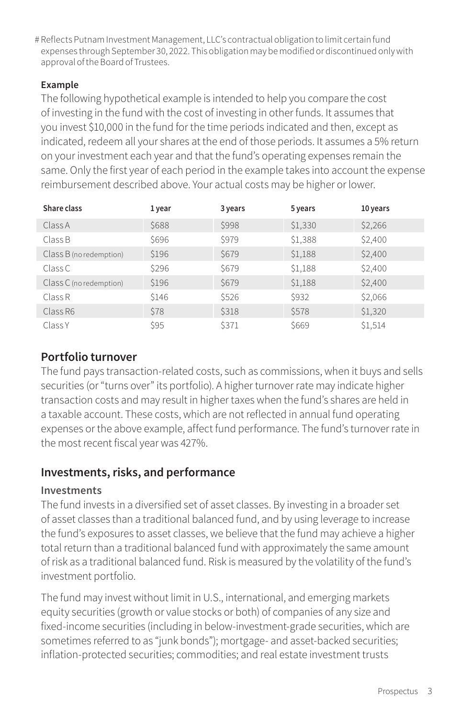# Reflects Putnam Investment Management, LLC's contractual obligation to limit certain fund expenses through September 30, 2022. This obligation may be modified or discontinued only with approval of the Board of Trustees.

#### **Example**

The following hypothetical example is intended to help you compare the cost of investing in the fund with the cost of investing in other funds. It assumes that you invest \$10,000 in the fund for the time periods indicated and then, except as indicated, redeem all your shares at the end of those periods. It assumes a 5% return on your investment each year and that the fund's operating expenses remain the same. Only the first year of each period in the example takes into account the expense reimbursement described above. Your actual costs may be higher or lower.

| Share class             | 1 year      | 3 years | 5 years | 10 years |
|-------------------------|-------------|---------|---------|----------|
| Class A                 | \$688       | \$998   | \$1,330 | \$2,266  |
| Class B                 | \$696       | \$979   | \$1,388 | \$2,400  |
| Class B (no redemption) | \$196       | \$679   | \$1,188 | \$2,400  |
| Class C                 | \$296       | \$679   | \$1,188 | \$2,400  |
| Class C (no redemption) | \$196       | \$679   | \$1,188 | \$2,400  |
| Class R                 | <b>S146</b> | \$526   | \$932   | \$2,066  |
| Class R6                | \$78        | \$318   | \$578   | \$1,320  |
| Class Y                 | \$95        | \$371   | \$669   | \$1,514  |

## **Portfolio turnover**

The fund pays transaction-related costs, such as commissions, when it buys and sells securities (or "turns over" its portfolio). A higher turnover rate may indicate higher transaction costs and may result in higher taxes when the fund's shares are held in a taxable account. These costs, which are not reflected in annual fund operating expenses or the above example, affect fund performance. The fund's turnover rate in the most recent fiscal year was 427%.

## **Investments, risks, and performance**

#### **Investments**

The fund invests in a diversified set of asset classes. By investing in a broader set of asset classes than a traditional balanced fund, and by using leverage to increase the fund's exposures to asset classes, we believe that the fund may achieve a higher total return than a traditional balanced fund with approximately the same amount of risk as a traditional balanced fund. Risk is measured by the volatility of the fund's investment portfolio.

The fund may invest without limit in U.S., international, and emerging markets equity securities (growth or value stocks or both) of companies of any size and fixed-income securities (including in below-investment-grade securities, which are sometimes referred to as "junk bonds"); mortgage- and asset-backed securities; inflation-protected securities; commodities; and real estate investment trusts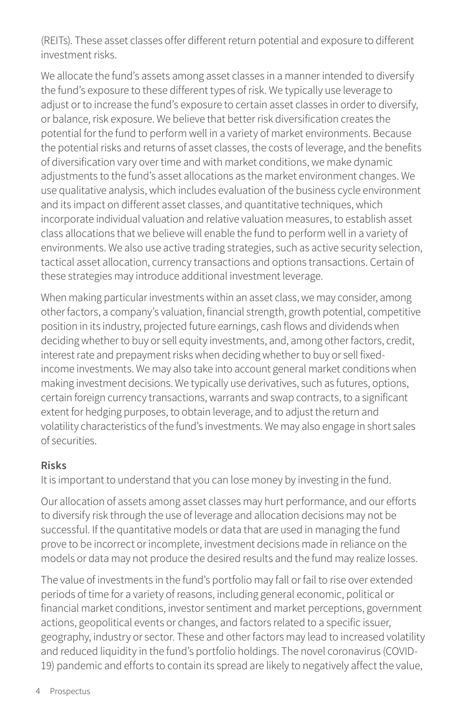(REITs). These asset classes offer different return potential and exposure to different investment risks.

We allocate the fund's assets among asset classes in a manner intended to diversify the fund's exposure to these different types of risk. We typically use leverage to adjust or to increase the fund's exposure to certain asset classes in order to diversify, or balance, risk exposure. We believe that better risk diversification creates the potential for the fund to perform well in a variety of market environments. Because the potential risks and returns of asset classes, the costs of leverage, and the benefits of diversification vary over time and with market conditions, we make dynamic adjustments to the fund's asset allocations as the market environment changes. We use qualitative analysis, which includes evaluation of the business cycle environment and its impact on different asset classes, and quantitative techniques, which incorporate individual valuation and relative valuation measures, to establish asset class allocations that we believe will enable the fund to perform well in a variety of environments. We also use active trading strategies, such as active security selection, tactical asset allocation, currency transactions and options transactions. Certain of these strategies may introduce additional investment leverage.

When making particular investments within an asset class, we may consider, among other factors, a company's valuation, financial strength, growth potential, competitive position in its industry, projected future earnings, cash flows and dividends when deciding whether to buy or sell equity investments, and, among other factors, credit, interest rate and prepayment risks when deciding whether to buy or sell fixedincome investments. We may also take into account general market conditions when making investment decisions. We typically use derivatives, such as futures, options, certain foreign currency transactions, warrants and swap contracts, to a significant extent for hedging purposes, to obtain leverage, and to adjust the return and volatility characteristics of the fund's investments. We may also engage in short sales of securities.

#### **Risks**

It is important to understand that you can lose money by investing in the fund.

Our allocation of assets among asset classes may hurt performance, and our efforts to diversify risk through the use of leverage and allocation decisions may not be successful. If the quantitative models or data that are used in managing the fund prove to be incorrect or incomplete, investment decisions made in reliance on the models or data may not produce the desired results and the fund may realize losses.

The value of investments in the fund's portfolio may fall or fail to rise over extended periods of time for a variety of reasons, including general economic, political or financial market conditions, investor sentiment and market perceptions, government actions, geopolitical events or changes, and factors related to a specific issuer, geography, industry or sector. These and other factors may lead to increased volatility and reduced liquidity in the fund's portfolio holdings. The novel coronavirus (COVID-19) pandemic and efforts to contain its spread are likely to negatively affect the value,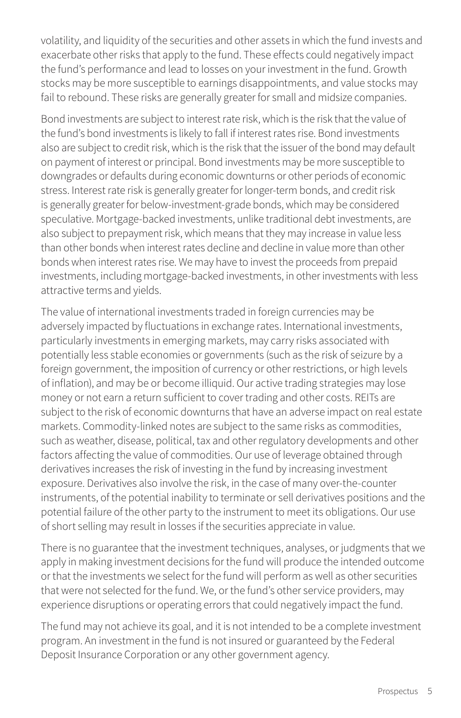volatility, and liquidity of the securities and other assets in which the fund invests and exacerbate other risks that apply to the fund. These effects could negatively impact the fund's performance and lead to losses on your investment in the fund. Growth stocks may be more susceptible to earnings disappointments, and value stocks may fail to rebound. These risks are generally greater for small and midsize companies.

Bond investments are subject to interest rate risk, which is the risk that the value of the fund's bond investments is likely to fall if interest rates rise. Bond investments also are subject to credit risk, which is the risk that the issuer of the bond may default on payment of interest or principal. Bond investments may be more susceptible to downgrades or defaults during economic downturns or other periods of economic stress. Interest rate risk is generally greater for longer-term bonds, and credit risk is generally greater for below-investment-grade bonds, which may be considered speculative. Mortgage-backed investments, unlike traditional debt investments, are also subject to prepayment risk, which means that they may increase in value less than other bonds when interest rates decline and decline in value more than other bonds when interest rates rise. We may have to invest the proceeds from prepaid investments, including mortgage-backed investments, in other investments with less attractive terms and yields.

The value of international investments traded in foreign currencies may be adversely impacted by fluctuations in exchange rates. International investments, particularly investments in emerging markets, may carry risks associated with potentially less stable economies or governments (such as the risk of seizure by a foreign government, the imposition of currency or other restrictions, or high levels of inflation), and may be or become illiquid. Our active trading strategies may lose money or not earn a return sufficient to cover trading and other costs. REITs are subject to the risk of economic downturns that have an adverse impact on real estate markets. Commodity-linked notes are subject to the same risks as commodities, such as weather, disease, political, tax and other regulatory developments and other factors affecting the value of commodities. Our use of leverage obtained through derivatives increases the risk of investing in the fund by increasing investment exposure. Derivatives also involve the risk, in the case of many over-the-counter instruments, of the potential inability to terminate or sell derivatives positions and the potential failure of the other party to the instrument to meet its obligations. Our use of short selling may result in losses if the securities appreciate in value.

There is no guarantee that the investment techniques, analyses, or judgments that we apply in making investment decisions for the fund will produce the intended outcome or that the investments we select for the fund will perform as well as other securities that were not selected for the fund. We, or the fund's other service providers, may experience disruptions or operating errors that could negatively impact the fund.

The fund may not achieve its goal, and it is not intended to be a complete investment program. An investment in the fund is not insured or guaranteed by the Federal Deposit Insurance Corporation or any other government agency.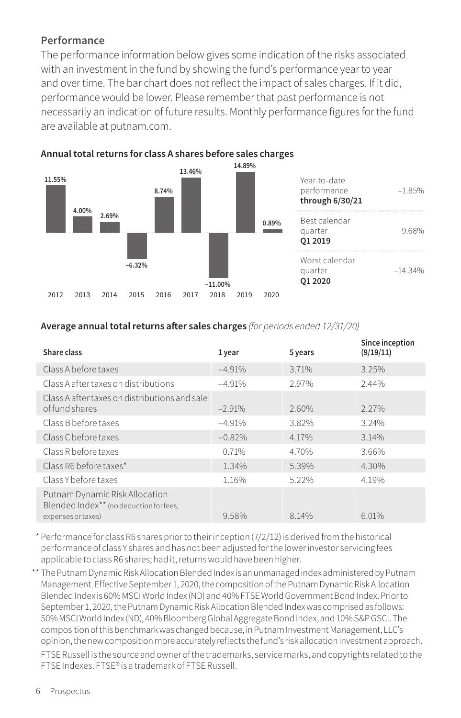#### **Performance**

The performance information below gives some indication of the risks associated with an investment in the fund by showing the fund's performance year to year and over time. The bar chart does not reflect the impact of sales charges. If it did, performance would be lower. Please remember that past performance is not necessarily an indication of future results. Monthly performance figures for the fund are available at [putnam.com.](https://www.putnam.com/individual?ref=SP735.pdf)



#### **Annual total returns for class A shares before sales charges**

#### **Average annual total returns after sales charges** *(for periods ended 12/31/20)*

| Share class                                                                                     | 1 year   | 5 years | Since inception<br>(9/19/11) |
|-------------------------------------------------------------------------------------------------|----------|---------|------------------------------|
| Class A before taxes                                                                            | $-4.91%$ | 3.71%   | 3.25%                        |
| Class A after taxes on distributions                                                            | $-4.91%$ | 2.97%   | 2.44%                        |
| Class A after taxes on distributions and sale<br>of fund shares                                 | $-2.91%$ | 2.60%   | $2.27\%$                     |
| Class B before taxes                                                                            | $-4.91%$ | 3.82%   | 3.24%                        |
| Class C before taxes                                                                            | $-0.82%$ | 4.17%   | 3.14%                        |
| Class R before taxes                                                                            | 0.71%    | 4.70%   | 3.66%                        |
| Class R6 before taxes*                                                                          | 1.34%    | 5.39%   | 4.30%                        |
| Class Y before taxes                                                                            | 1.16%    | 5.22%   | 4.19%                        |
| Putnam Dynamic Risk Allocation<br>Blended Index** (no deduction for fees,<br>expenses or taxes) | 9.58%    | 8.14%   | 6.01%                        |

\* Performance for class R6 shares prior to their inception (7/2/12) is derived from the historical performance of class Y shares and has not been adjusted for the lower investor servicing fees applicable to class R6 shares; had it, returns would have been higher.

\*\* The Putnam Dynamic Risk Allocation Blended Index is an unmanaged index administered by Putnam Management. Effective September 1, 2020, the composition of the Putnam Dynamic Risk Allocation Blended Index is 60% MSCI World Index (ND) and 40% FTSE World Government Bond Index. Prior to September 1, 2020, the Putnam Dynamic Risk Allocation Blended Index was comprised as follows: 50% MSCI World Index (ND), 40% Bloomberg Global Aggregate Bond Index, and 10% S&P GSCI. The composition of this benchmark was changed because, in Putnam Investment Management, LLC's opinion, the new composition more accurately reflects the fund's risk allocation investment approach.

FTSE Russell is the source and owner of the trademarks, service marks, and copyrights related to the FTSE Indexes. FTSE® is a trademark of FTSE Russell.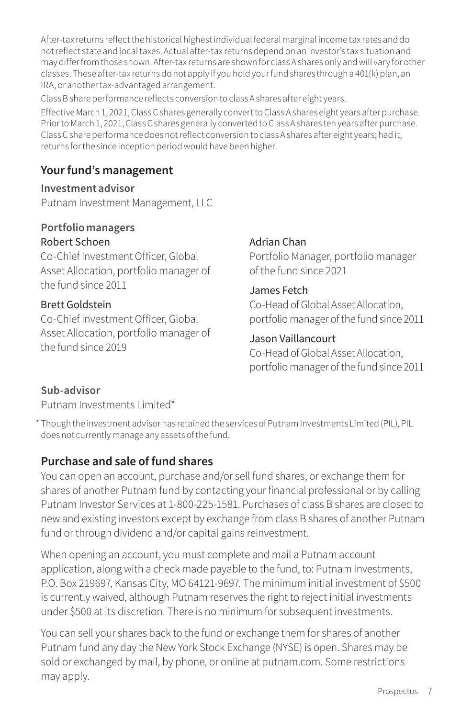After-tax returns reflect the historical highest individual federal marginal income tax rates and do not reflect state and local taxes. Actual after-tax returns depend on an investor's tax situation and may differ from those shown. After-tax returns are shown for class A shares only and will vary for other classes. These after-tax returns do not apply if you hold your fund shares through a 401(k) plan, an IRA, or another tax-advantaged arrangement.

Class B share performance reflects conversion to class A shares after eight years.

Effective March 1, 2021, Class C shares generally convert to Class A shares eight years after purchase. Prior to March 1, 2021, Class C shares generally converted to Class A shares ten years after purchase. Class C share performance does not reflect conversion to class A shares after eight years; had it, returns for the since inception period would have been higher.

# **Your fund's management**

**Investment advisor** Putnam Investment Management, LLC

#### **Portfolio managers** Robert Schoen

Co-Chief Investment Officer, Global Asset Allocation, portfolio manager of the fund since 2011

#### Brett Goldstein

Co-Chief Investment Officer, Global Asset Allocation, portfolio manager of the fund since 2019

#### Adrian Chan

Portfolio Manager, portfolio manager of the fund since 2021

#### James Fetch

Co-Head of Global Asset Allocation, portfolio manager of the fund since 2011

#### Jason Vaillancourt

Co-Head of Global Asset Allocation, portfolio manager of the fund since 2011

#### **Sub-advisor**

Putnam Investments Limited\*

\* Though the investment advisor has retained the services of Putnam Investments Limited (PIL), PIL does not currently manage any assets of the fund.

## **Purchase and sale of fund shares**

You can open an account, purchase and/or sell fund shares, or exchange them for shares of another Putnam fund by contacting your financial professional or by calling Putnam Investor Services at 1-800-225-1581. Purchases of class B shares are closed to new and existing investors except by exchange from class B shares of another Putnam fund or through dividend and/or capital gains reinvestment.

When opening an account, you must complete and mail a Putnam account application, along with a check made payable to the fund, to: Putnam Investments, P.O. Box 219697, Kansas City, MO 64121-9697. The minimum initial investment of \$500 is currently waived, although Putnam reserves the right to reject initial investments under \$500 at its discretion. There is no minimum for subsequent investments.

You can sell your shares back to the fund or exchange them for shares of another Putnam fund any day the New York Stock Exchange (NYSE) is open. Shares may be sold or exchanged by mail, by phone, or online at [putnam.com.](https://www.putnam.com?ref=SP735.pdf) Some restrictions may apply.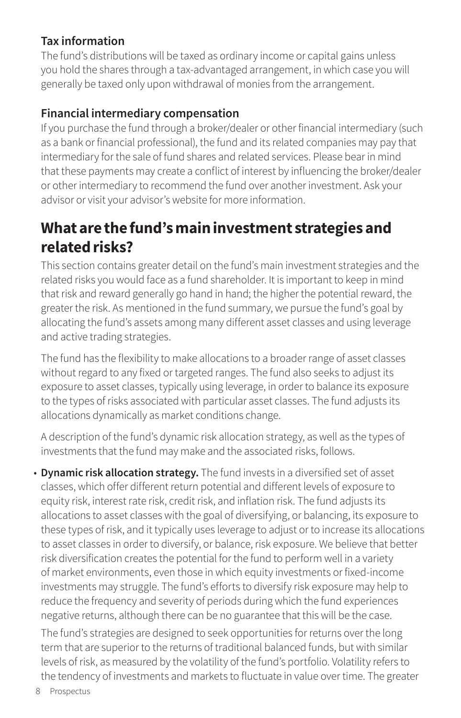# **Tax information**

The fund's distributions will be taxed as ordinary income or capital gains unless you hold the shares through a tax-advantaged arrangement, in which case you will generally be taxed only upon withdrawal of monies from the arrangement.

## **Financial intermediary compensation**

If you purchase the fund through a broker/dealer or other financial intermediary (such as a bank or financial professional), the fund and its related companies may pay that intermediary for the sale of fund shares and related services. Please bear in mind that these payments may create a conflict of interest by influencing the broker/dealer or other intermediary to recommend the fund over another investment. Ask your advisor or visit your advisor's website for more information.

# **What are the fund's main investment strategies and related risks?**

This section contains greater detail on the fund's main investment strategies and the related risks you would face as a fund shareholder. It is important to keep in mind that risk and reward generally go hand in hand; the higher the potential reward, the greater the risk. As mentioned in the fund summary, we pursue the fund's goal by allocating the fund's assets among many different asset classes and using leverage and active trading strategies.

The fund has the flexibility to make allocations to a broader range of asset classes without regard to any fixed or targeted ranges. The fund also seeks to adjust its exposure to asset classes, typically using leverage, in order to balance its exposure to the types of risks associated with particular asset classes. The fund adjusts its allocations dynamically as market conditions change.

A description of the fund's dynamic risk allocation strategy, as well as the types of investments that the fund may make and the associated risks, follows.

• **Dynamic risk allocation strategy.** The fund invests in a diversified set of asset classes, which offer different return potential and different levels of exposure to equity risk, interest rate risk, credit risk, and inflation risk. The fund adjusts its allocations to asset classes with the goal of diversifying, or balancing, its exposure to these types of risk, and it typically uses leverage to adjust or to increase its allocations to asset classes in order to diversify, or balance, risk exposure. We believe that better risk diversification creates the potential for the fund to perform well in a variety of market environments, even those in which equity investments or fixed-income investments may struggle. The fund's efforts to diversify risk exposure may help to reduce the frequency and severity of periods during which the fund experiences negative returns, although there can be no guarantee that this will be the case.

The fund's strategies are designed to seek opportunities for returns over the long term that are superior to the returns of traditional balanced funds, but with similar levels of risk, as measured by the volatility of the fund's portfolio. Volatility refers to the tendency of investments and markets to fluctuate in value over time. The greater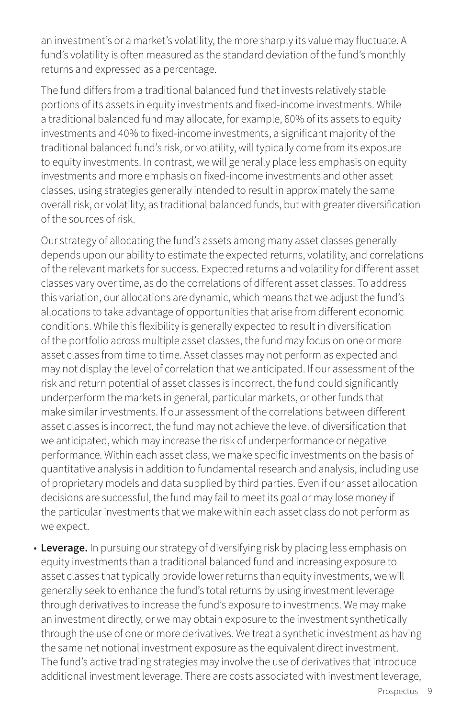an investment's or a market's volatility, the more sharply its value may fluctuate. A fund's volatility is often measured as the standard deviation of the fund's monthly returns and expressed as a percentage.

The fund differs from a traditional balanced fund that invests relatively stable portions of its assets in equity investments and fixed-income investments. While a traditional balanced fund may allocate, for example, 60% of its assets to equity investments and 40% to fixed-income investments, a significant majority of the traditional balanced fund's risk, or volatility, will typically come from its exposure to equity investments. In contrast, we will generally place less emphasis on equity investments and more emphasis on fixed-income investments and other asset classes, using strategies generally intended to result in approximately the same overall risk, or volatility, as traditional balanced funds, but with greater diversification of the sources of risk.

Our strategy of allocating the fund's assets among many asset classes generally depends upon our ability to estimate the expected returns, volatility, and correlations of the relevant markets for success. Expected returns and volatility for different asset classes vary over time, as do the correlations of different asset classes. To address this variation, our allocations are dynamic, which means that we adjust the fund's allocations to take advantage of opportunities that arise from different economic conditions. While this flexibility is generally expected to result in diversification of the portfolio across multiple asset classes, the fund may focus on one or more asset classes from time to time. Asset classes may not perform as expected and may not display the level of correlation that we anticipated. If our assessment of the risk and return potential of asset classes is incorrect, the fund could significantly underperform the markets in general, particular markets, or other funds that make similar investments. If our assessment of the correlations between different asset classes is incorrect, the fund may not achieve the level of diversification that we anticipated, which may increase the risk of underperformance or negative performance. Within each asset class, we make specific investments on the basis of quantitative analysis in addition to fundamental research and analysis, including use of proprietary models and data supplied by third parties. Even if our asset allocation decisions are successful, the fund may fail to meet its goal or may lose money if the particular investments that we make within each asset class do not perform as we expect.

• **Leverage.** In pursuing our strategy of diversifying risk by placing less emphasis on equity investments than a traditional balanced fund and increasing exposure to asset classes that typically provide lower returns than equity investments, we will generally seek to enhance the fund's total returns by using investment leverage through derivatives to increase the fund's exposure to investments. We may make an investment directly, or we may obtain exposure to the investment synthetically through the use of one or more derivatives. We treat a synthetic investment as having the same net notional investment exposure as the equivalent direct investment. The fund's active trading strategies may involve the use of derivatives that introduce additional investment leverage. There are costs associated with investment leverage,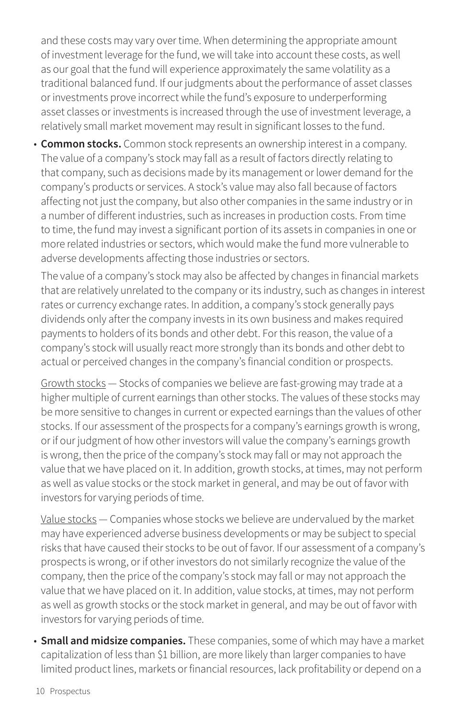and these costs may vary over time. When determining the appropriate amount of investment leverage for the fund, we will take into account these costs, as well as our goal that the fund will experience approximately the same volatility as a traditional balanced fund. If our judgments about the performance of asset classes or investments prove incorrect while the fund's exposure to underperforming asset classes or investments is increased through the use of investment leverage, a relatively small market movement may result in significant losses to the fund.

• **Common stocks.** Common stock represents an ownership interest in a company. The value of a company's stock may fall as a result of factors directly relating to that company, such as decisions made by its management or lower demand for the company's products or services. A stock's value may also fall because of factors affecting not just the company, but also other companies in the same industry or in a number of different industries, such as increases in production costs. From time to time, the fund may invest a significant portion of its assets in companies in one or more related industries or sectors, which would make the fund more vulnerable to adverse developments affecting those industries or sectors.

The value of a company's stock may also be affected by changes in financial markets that are relatively unrelated to the company or its industry, such as changes in interest rates or currency exchange rates. In addition, a company's stock generally pays dividends only after the company invests in its own business and makes required payments to holders of its bonds and other debt. For this reason, the value of a company's stock will usually react more strongly than its bonds and other debt to actual or perceived changes in the company's financial condition or prospects.

Growth stocks — Stocks of companies we believe are fast-growing may trade at a higher multiple of current earnings than other stocks. The values of these stocks may be more sensitive to changes in current or expected earnings than the values of other stocks. If our assessment of the prospects for a company's earnings growth is wrong, or if our judgment of how other investors will value the company's earnings growth is wrong, then the price of the company's stock may fall or may not approach the value that we have placed on it. In addition, growth stocks, at times, may not perform as well as value stocks or the stock market in general, and may be out of favor with investors for varying periods of time.

Value stocks — Companies whose stocks we believe are undervalued by the market may have experienced adverse business developments or may be subject to special risks that have caused their stocks to be out of favor. If our assessment of a company's prospects is wrong, or if other investors do not similarly recognize the value of the company, then the price of the company's stock may fall or may not approach the value that we have placed on it. In addition, value stocks, at times, may not perform as well as growth stocks or the stock market in general, and may be out of favor with investors for varying periods of time.

• **Small and midsize companies.** These companies, some of which may have a market capitalization of less than \$1 billion, are more likely than larger companies to have limited product lines, markets or financial resources, lack profitability or depend on a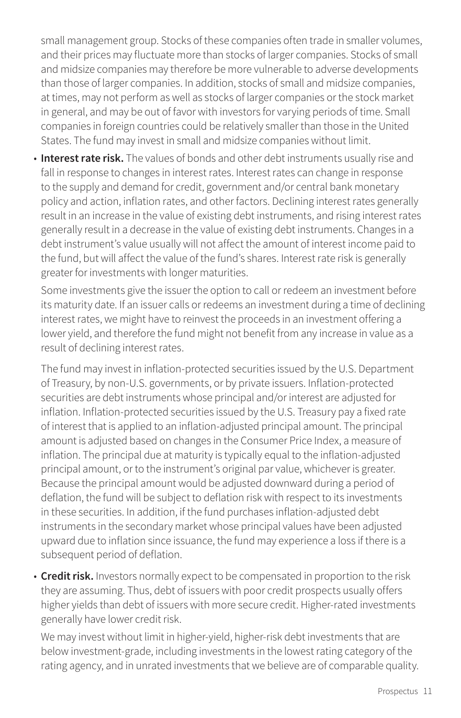small management group. Stocks of these companies often trade in smaller volumes, and their prices may fluctuate more than stocks of larger companies. Stocks of small and midsize companies may therefore be more vulnerable to adverse developments than those of larger companies. In addition, stocks of small and midsize companies, at times, may not perform as well as stocks of larger companies or the stock market in general, and may be out of favor with investors for varying periods of time. Small companies in foreign countries could be relatively smaller than those in the United States. The fund may invest in small and midsize companies without limit.

• **Interest rate risk.** The values of bonds and other debt instruments usually rise and fall in response to changes in interest rates. Interest rates can change in response to the supply and demand for credit, government and/or central bank monetary policy and action, inflation rates, and other factors. Declining interest rates generally result in an increase in the value of existing debt instruments, and rising interest rates generally result in a decrease in the value of existing debt instruments. Changes in a debt instrument's value usually will not affect the amount of interest income paid to the fund, but will affect the value of the fund's shares. Interest rate risk is generally greater for investments with longer maturities.

Some investments give the issuer the option to call or redeem an investment before its maturity date. If an issuer calls or redeems an investment during a time of declining interest rates, we might have to reinvest the proceeds in an investment offering a lower yield, and therefore the fund might not benefit from any increase in value as a result of declining interest rates.

The fund may invest in inflation-protected securities issued by the U.S. Department of Treasury, by non-U.S. governments, or by private issuers. Inflation-protected securities are debt instruments whose principal and/or interest are adjusted for inflation. Inflation-protected securities issued by the U.S. Treasury pay a fixed rate of interest that is applied to an inflation-adjusted principal amount. The principal amount is adjusted based on changes in the Consumer Price Index, a measure of inflation. The principal due at maturity is typically equal to the inflation-adjusted principal amount, or to the instrument's original par value, whichever is greater. Because the principal amount would be adjusted downward during a period of deflation, the fund will be subject to deflation risk with respect to its investments in these securities. In addition, if the fund purchases inflation-adjusted debt instruments in the secondary market whose principal values have been adjusted upward due to inflation since issuance, the fund may experience a loss if there is a subsequent period of deflation.

• **Credit risk.** Investors normally expect to be compensated in proportion to the risk they are assuming. Thus, debt of issuers with poor credit prospects usually offers higher yields than debt of issuers with more secure credit. Higher-rated investments generally have lower credit risk.

We may invest without limit in higher-yield, higher-risk debt investments that are below investment-grade, including investments in the lowest rating category of the rating agency, and in unrated investments that we believe are of comparable quality.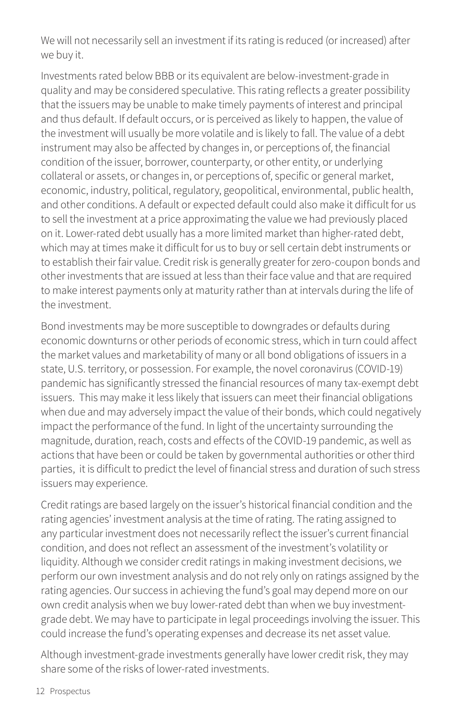We will not necessarily sell an investment if its rating is reduced (or increased) after we buy it.

Investments rated below BBB or its equivalent are below-investment-grade in quality and may be considered speculative. This rating reflects a greater possibility that the issuers may be unable to make timely payments of interest and principal and thus default. If default occurs, or is perceived as likely to happen, the value of the investment will usually be more volatile and is likely to fall. The value of a debt instrument may also be affected by changes in, or perceptions of, the financial condition of the issuer, borrower, counterparty, or other entity, or underlying collateral or assets, or changes in, or perceptions of, specific or general market, economic, industry, political, regulatory, geopolitical, environmental, public health, and other conditions. A default or expected default could also make it difficult for us to sell the investment at a price approximating the value we had previously placed on it. Lower-rated debt usually has a more limited market than higher-rated debt, which may at times make it difficult for us to buy or sell certain debt instruments or to establish their fair value. Credit risk is generally greater for zero-coupon bonds and other investments that are issued at less than their face value and that are required to make interest payments only at maturity rather than at intervals during the life of the investment.

Bond investments may be more susceptible to downgrades or defaults during economic downturns or other periods of economic stress, which in turn could affect the market values and marketability of many or all bond obligations of issuers in a state, U.S. territory, or possession. For example, the novel coronavirus (COVID-19) pandemic has significantly stressed the financial resources of many tax-exempt debt issuers. This may make it less likely that issuers can meet their financial obligations when due and may adversely impact the value of their bonds, which could negatively impact the performance of the fund. In light of the uncertainty surrounding the magnitude, duration, reach, costs and effects of the COVID-19 pandemic, as well as actions that have been or could be taken by governmental authorities or other third parties, it is difficult to predict the level of financial stress and duration of such stress issuers may experience.

Credit ratings are based largely on the issuer's historical financial condition and the rating agencies' investment analysis at the time of rating. The rating assigned to any particular investment does not necessarily reflect the issuer's current financial condition, and does not reflect an assessment of the investment's volatility or liquidity. Although we consider credit ratings in making investment decisions, we perform our own investment analysis and do not rely only on ratings assigned by the rating agencies. Our success in achieving the fund's goal may depend more on our own credit analysis when we buy lower-rated debt than when we buy investmentgrade debt. We may have to participate in legal proceedings involving the issuer. This could increase the fund's operating expenses and decrease its net asset value.

Although investment-grade investments generally have lower credit risk, they may share some of the risks of lower-rated investments.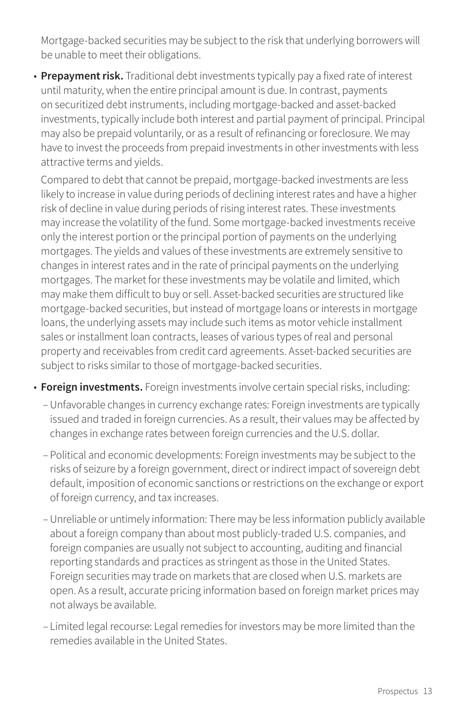Mortgage-backed securities may be subject to the risk that underlying borrowers will be unable to meet their obligations.

• **Prepayment risk.** Traditional debt investments typically pay a fixed rate of interest until maturity, when the entire principal amount is due. In contrast, payments on securitized debt instruments, including mortgage-backed and asset-backed investments, typically include both interest and partial payment of principal. Principal may also be prepaid voluntarily, or as a result of refinancing or foreclosure. We may have to invest the proceeds from prepaid investments in other investments with less attractive terms and yields.

Compared to debt that cannot be prepaid, mortgage-backed investments are less likely to increase in value during periods of declining interest rates and have a higher risk of decline in value during periods of rising interest rates. These investments may increase the volatility of the fund. Some mortgage-backed investments receive only the interest portion or the principal portion of payments on the underlying mortgages. The yields and values of these investments are extremely sensitive to changes in interest rates and in the rate of principal payments on the underlying mortgages. The market for these investments may be volatile and limited, which may make them difficult to buy or sell. Asset-backed securities are structured like mortgage-backed securities, but instead of mortgage loans or interests in mortgage loans, the underlying assets may include such items as motor vehicle installment sales or installment loan contracts, leases of various types of real and personal property and receivables from credit card agreements. Asset-backed securities are subject to risks similar to those of mortgage-backed securities.

- **Foreign investments.** Foreign investments involve certain special risks, including:
	- –Unfavorable changes in currency exchange rates: Foreign investments are typically issued and traded in foreign currencies. As a result, their values may be affected by changes in exchange rates between foreign currencies and the U.S. dollar.
	- Political and economic developments: Foreign investments may be subject to the risks of seizure by a foreign government, direct or indirect impact of sovereign debt default, imposition of economic sanctions or restrictions on the exchange or export of foreign currency, and tax increases.
	- –Unreliable or untimely information: There may be less information publicly available about a foreign company than about most publicly-traded U.S. companies, and foreign companies are usually not subject to accounting, auditing and financial reporting standards and practices as stringent as those in the United States. Foreign securities may trade on markets that are closed when U.S. markets are open. As a result, accurate pricing information based on foreign market prices may not always be available.
	- Limited legal recourse: Legal remedies for investors may be more limited than the remedies available in the United States.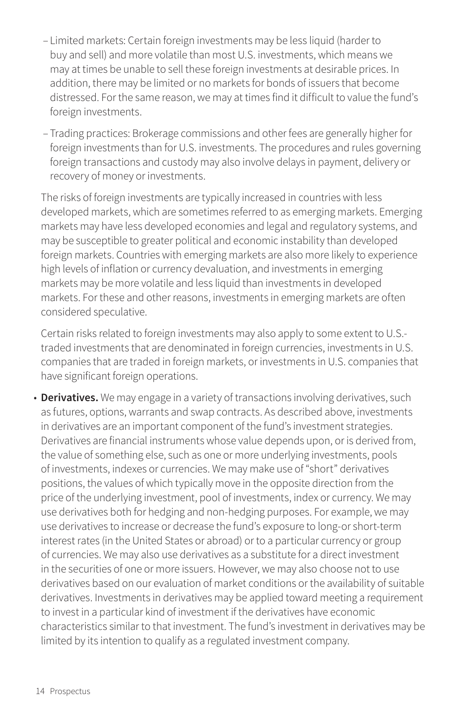- Limited markets: Certain foreign investments may be less liquid (harder to buy and sell) and more volatile than most U.S. investments, which means we may at times be unable to sell these foreign investments at desirable prices. In addition, there may be limited or no markets for bonds of issuers that become distressed. For the same reason, we may at times find it difficult to value the fund's foreign investments.
- Trading practices: Brokerage commissions and other fees are generally higher for foreign investments than for U.S. investments. The procedures and rules governing foreign transactions and custody may also involve delays in payment, delivery or recovery of money or investments.

The risks of foreign investments are typically increased in countries with less developed markets, which are sometimes referred to as emerging markets. Emerging markets may have less developed economies and legal and regulatory systems, and may be susceptible to greater political and economic instability than developed foreign markets. Countries with emerging markets are also more likely to experience high levels of inflation or currency devaluation, and investments in emerging markets may be more volatile and less liquid than investments in developed markets. For these and other reasons, investments in emerging markets are often considered speculative.

Certain risks related to foreign investments may also apply to some extent to U.S. traded investments that are denominated in foreign currencies, investments in U.S. companies that are traded in foreign markets, or investments in U.S. companies that have significant foreign operations.

• **Derivatives.** We may engage in a variety of transactions involving derivatives, such as futures, options, warrants and swap contracts. As described above, investments in derivatives are an important component of the fund's investment strategies. Derivatives are financial instruments whose value depends upon, or is derived from, the value of something else, such as one or more underlying investments, pools of investments, indexes or currencies. We may make use of "short" derivatives positions, the values of which typically move in the opposite direction from the price of the underlying investment, pool of investments, index or currency. We may use derivatives both for hedging and non-hedging purposes. For example, we may use derivatives to increase or decrease the fund's exposure to long-or short-term interest rates (in the United States or abroad) or to a particular currency or group of currencies. We may also use derivatives as a substitute for a direct investment in the securities of one or more issuers. However, we may also choose not to use derivatives based on our evaluation of market conditions or the availability of suitable derivatives. Investments in derivatives may be applied toward meeting a requirement to invest in a particular kind of investment if the derivatives have economic characteristics similar to that investment. The fund's investment in derivatives may be limited by its intention to qualify as a regulated investment company.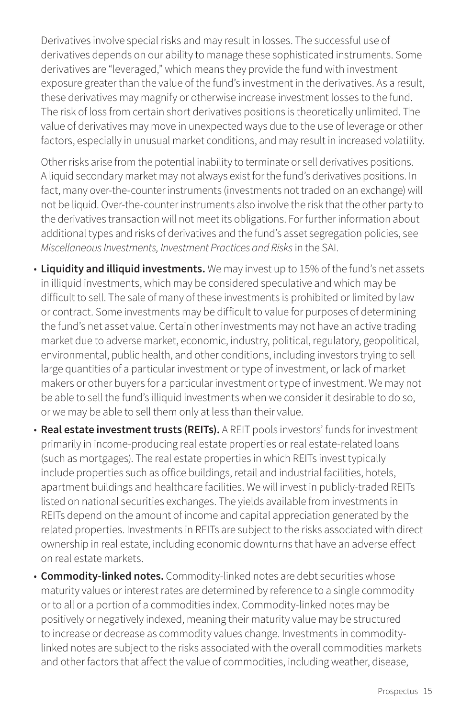Derivatives involve special risks and may result in losses. The successful use of derivatives depends on our ability to manage these sophisticated instruments. Some derivatives are "leveraged," which means they provide the fund with investment exposure greater than the value of the fund's investment in the derivatives. As a result, these derivatives may magnify or otherwise increase investment losses to the fund. The risk of loss from certain short derivatives positions is theoretically unlimited. The value of derivatives may move in unexpected ways due to the use of leverage or other factors, especially in unusual market conditions, and may result in increased volatility.

Other risks arise from the potential inability to terminate or sell derivatives positions. A liquid secondary market may not always exist for the fund's derivatives positions. In fact, many over-the-counter instruments (investments not traded on an exchange) will not be liquid. Over-the-counter instruments also involve the risk that the other party to the derivatives transaction will not meet its obligations. For further information about additional types and risks of derivatives and the fund's asset segregation policies, see *Miscellaneous Investments, Investment Practices and Risks* in the SAI.

- **Liquidity and illiquid investments.** We may invest up to 15% of the fund's net assets in illiquid investments, which may be considered speculative and which may be difficult to sell. The sale of many of these investments is prohibited or limited by law or contract. Some investments may be difficult to value for purposes of determining the fund's net asset value. Certain other investments may not have an active trading market due to adverse market, economic, industry, political, regulatory, geopolitical, environmental, public health, and other conditions, including investors trying to sell large quantities of a particular investment or type of investment, or lack of market makers or other buyers for a particular investment or type of investment. We may not be able to sell the fund's illiquid investments when we consider it desirable to do so, or we may be able to sell them only at less than their value.
- **Real estate investment trusts (REITs).** A REIT pools investors' funds for investment primarily in income-producing real estate properties or real estate-related loans (such as mortgages). The real estate properties in which REITs invest typically include properties such as office buildings, retail and industrial facilities, hotels, apartment buildings and healthcare facilities. We will invest in publicly-traded REITs listed on national securities exchanges. The yields available from investments in REITs depend on the amount of income and capital appreciation generated by the related properties. Investments in REITs are subject to the risks associated with direct ownership in real estate, including economic downturns that have an adverse effect on real estate markets.
- **Commodity-linked notes.** Commodity-linked notes are debt securities whose maturity values or interest rates are determined by reference to a single commodity or to all or a portion of a commodities index. Commodity-linked notes may be positively or negatively indexed, meaning their maturity value may be structured to increase or decrease as commodity values change. Investments in commoditylinked notes are subject to the risks associated with the overall commodities markets and other factors that affect the value of commodities, including weather, disease,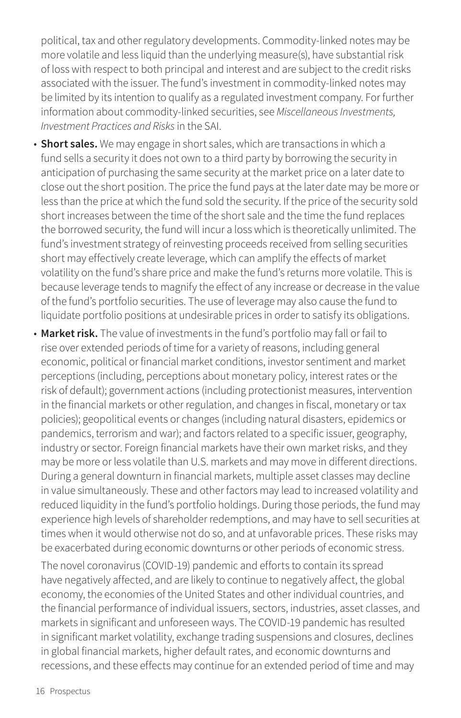political, tax and other regulatory developments. Commodity-linked notes may be more volatile and less liquid than the underlying measure(s), have substantial risk of loss with respect to both principal and interest and are subject to the credit risks associated with the issuer. The fund's investment in commodity-linked notes may be limited by its intention to qualify as a regulated investment company. For further information about commodity-linked securities, see *Miscellaneous Investments, Investment Practices and Risks* in the SAI.

- **Short sales.** We may engage in short sales, which are transactions in which a fund sells a security it does not own to a third party by borrowing the security in anticipation of purchasing the same security at the market price on a later date to close out the short position. The price the fund pays at the later date may be more or less than the price at which the fund sold the security. If the price of the security sold short increases between the time of the short sale and the time the fund replaces the borrowed security, the fund will incur a loss which is theoretically unlimited. The fund's investment strategy of reinvesting proceeds received from selling securities short may effectively create leverage, which can amplify the effects of market volatility on the fund's share price and make the fund's returns more volatile. This is because leverage tends to magnify the effect of any increase or decrease in the value of the fund's portfolio securities. The use of leverage may also cause the fund to liquidate portfolio positions at undesirable prices in order to satisfy its obligations.
- **Market risk.** The value of investments in the fund's portfolio may fall or fail to rise over extended periods of time for a variety of reasons, including general economic, political or financial market conditions, investor sentiment and market perceptions (including, perceptions about monetary policy, interest rates or the risk of default); government actions (including protectionist measures, intervention in the financial markets or other regulation, and changes in fiscal, monetary or tax policies); geopolitical events or changes (including natural disasters, epidemics or pandemics, terrorism and war); and factors related to a specific issuer, geography, industry or sector. Foreign financial markets have their own market risks, and they may be more or less volatile than U.S. markets and may move in different directions. During a general downturn in financial markets, multiple asset classes may decline in value simultaneously. These and other factors may lead to increased volatility and reduced liquidity in the fund's portfolio holdings. During those periods, the fund may experience high levels of shareholder redemptions, and may have to sell securities at times when it would otherwise not do so, and at unfavorable prices. These risks may be exacerbated during economic downturns or other periods of economic stress.

The novel coronavirus (COVID-19) pandemic and efforts to contain its spread have negatively affected, and are likely to continue to negatively affect, the global economy, the economies of the United States and other individual countries, and the financial performance of individual issuers, sectors, industries, asset classes, and markets in significant and unforeseen ways. The COVID-19 pandemic has resulted in significant market volatility, exchange trading suspensions and closures, declines in global financial markets, higher default rates, and economic downturns and recessions, and these effects may continue for an extended period of time and may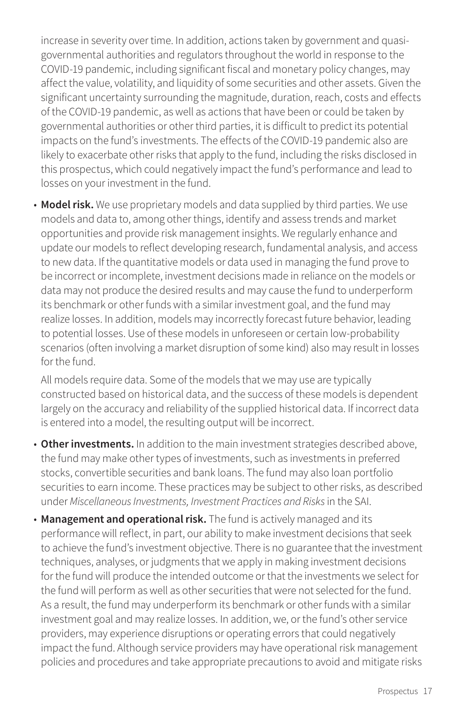increase in severity over time. In addition, actions taken by government and quasigovernmental authorities and regulators throughout the world in response to the COVID-19 pandemic, including significant fiscal and monetary policy changes, may affect the value, volatility, and liquidity of some securities and other assets. Given the significant uncertainty surrounding the magnitude, duration, reach, costs and effects of the COVID-19 pandemic, as well as actions that have been or could be taken by governmental authorities or other third parties, it is difficult to predict its potential impacts on the fund's investments. The effects of the COVID-19 pandemic also are likely to exacerbate other risks that apply to the fund, including the risks disclosed in this prospectus, which could negatively impact the fund's performance and lead to losses on your investment in the fund.

• **Model risk.** We use proprietary models and data supplied by third parties. We use models and data to, among other things, identify and assess trends and market opportunities and provide risk management insights. We regularly enhance and update our models to reflect developing research, fundamental analysis, and access to new data. If the quantitative models or data used in managing the fund prove to be incorrect or incomplete, investment decisions made in reliance on the models or data may not produce the desired results and may cause the fund to underperform its benchmark or other funds with a similar investment goal, and the fund may realize losses. In addition, models may incorrectly forecast future behavior, leading to potential losses. Use of these models in unforeseen or certain low-probability scenarios (often involving a market disruption of some kind) also may result in losses for the fund.

All models require data. Some of the models that we may use are typically constructed based on historical data, and the success of these models is dependent largely on the accuracy and reliability of the supplied historical data. If incorrect data is entered into a model, the resulting output will be incorrect.

- **Other investments.** In addition to the main investment strategies described above, the fund may make other types of investments, such as investments in preferred stocks, convertible securities and bank loans. The fund may also loan portfolio securities to earn income. These practices may be subject to other risks, as described under *Miscellaneous Investments, Investment Practices and Risks* in the SAI.
- **Management and operational risk.** The fund is actively managed and its performance will reflect, in part, our ability to make investment decisions that seek to achieve the fund's investment objective. There is no guarantee that the investment techniques, analyses, or judgments that we apply in making investment decisions for the fund will produce the intended outcome or that the investments we select for the fund will perform as well as other securities that were not selected for the fund. As a result, the fund may underperform its benchmark or other funds with a similar investment goal and may realize losses. In addition, we, or the fund's other service providers, may experience disruptions or operating errors that could negatively impact the fund. Although service providers may have operational risk management policies and procedures and take appropriate precautions to avoid and mitigate risks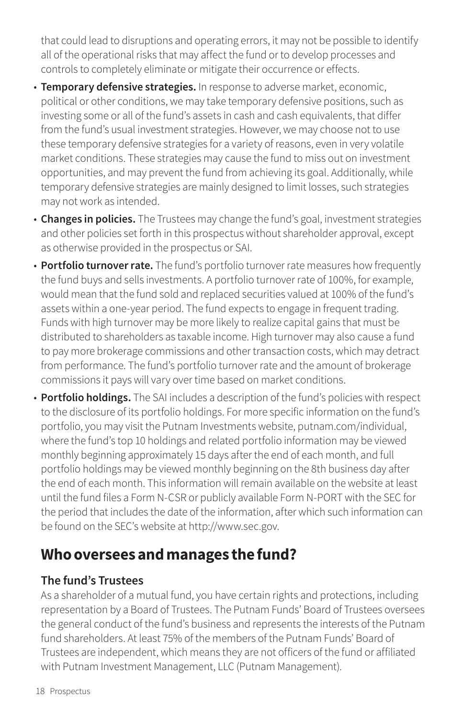that could lead to disruptions and operating errors, it may not be possible to identify all of the operational risks that may affect the fund or to develop processes and controls to completely eliminate or mitigate their occurrence or effects.

- **Temporary defensive strategies.** In response to adverse market, economic, political or other conditions, we may take temporary defensive positions, such as investing some or all of the fund's assets in cash and cash equivalents, that differ from the fund's usual investment strategies. However, we may choose not to use these temporary defensive strategies for a variety of reasons, even in very volatile market conditions. These strategies may cause the fund to miss out on investment opportunities, and may prevent the fund from achieving its goal. Additionally, while temporary defensive strategies are mainly designed to limit losses, such strategies may not work as intended.
- **Changes in policies.** The Trustees may change the fund's goal, investment strategies and other policies set forth in this prospectus without shareholder approval, except as otherwise provided in the prospectus or SAI.
- **Portfolio turnover rate.** The fund's portfolio turnover rate measures how frequently the fund buys and sells investments. A portfolio turnover rate of 100%, for example, would mean that the fund sold and replaced securities valued at 100% of the fund's assets within a one-year period. The fund expects to engage in frequent trading. Funds with high turnover may be more likely to realize capital gains that must be distributed to shareholders as taxable income. High turnover may also cause a fund to pay more brokerage commissions and other transaction costs, which may detract from performance. The fund's portfolio turnover rate and the amount of brokerage commissions it pays will vary over time based on market conditions.
- **Portfolio holdings.** The SAI includes a description of the fund's policies with respect to the disclosure of its portfolio holdings. For more specific information on the fund's portfolio, you may visit the Putnam Investments website, [putnam.com/individual,](https://www.putnam.com/individual?ref=SP735.pdf) where the fund's top 10 holdings and related portfolio information may be viewed monthly beginning approximately 15 days after the end of each month, and full portfolio holdings may be viewed monthly beginning on the 8th business day after the end of each month. This information will remain available on the website at least until the fund files a Form N-CSR or publicly available Form N-PORT with the SEC for the period that includes the date of the information, after which such information can be found on the SEC's website at http://www.sec.gov.

# **Who oversees and manages the fund?**

# **The fund's Trustees**

As a shareholder of a mutual fund, you have certain rights and protections, including representation by a Board of Trustees. The Putnam Funds' Board of Trustees oversees the general conduct of the fund's business and represents the interests of the Putnam fund shareholders. At least 75% of the members of the Putnam Funds' Board of Trustees are independent, which means they are not officers of the fund or affiliated with Putnam Investment Management, LLC (Putnam Management).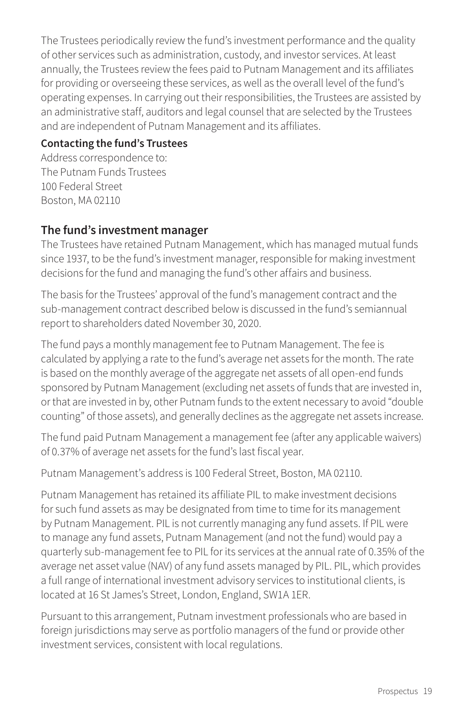The Trustees periodically review the fund's investment performance and the quality of other services such as administration, custody, and investor services. At least annually, the Trustees review the fees paid to Putnam Management and its affiliates for providing or overseeing these services, as well as the overall level of the fund's operating expenses. In carrying out their responsibilities, the Trustees are assisted by an administrative staff, auditors and legal counsel that are selected by the Trustees and are independent of Putnam Management and its affiliates.

#### **Contacting the fund's Trustees**

Address correspondence to: The Putnam Funds Trustees 100 Federal Street Boston, MA 02110

## **The fund's investment manager**

The Trustees have retained Putnam Management, which has managed mutual funds since 1937, to be the fund's investment manager, responsible for making investment decisions for the fund and managing the fund's other affairs and business.

The basis for the Trustees' approval of the fund's management contract and the sub-management contract described below is discussed in the fund's semiannual report to shareholders dated November 30, 2020.

The fund pays a monthly management fee to Putnam Management. The fee is calculated by applying a rate to the fund's average net assets for the month. The rate is based on the monthly average of the aggregate net assets of all open-end funds sponsored by Putnam Management (excluding net assets of funds that are invested in, or that are invested in by, other Putnam funds to the extent necessary to avoid "double counting" of those assets), and generally declines as the aggregate net assets increase.

The fund paid Putnam Management a management fee (after any applicable waivers) of 0.37% of average net assets for the fund's last fiscal year.

Putnam Management's address is 100 Federal Street, Boston, MA 02110.

Putnam Management has retained its affiliate PIL to make investment decisions for such fund assets as may be designated from time to time for its management by Putnam Management. PIL is not currently managing any fund assets. If PIL were to manage any fund assets, Putnam Management (and not the fund) would pay a quarterly sub-management fee to PIL for its services at the annual rate of 0.35% of the average net asset value (NAV) of any fund assets managed by PIL. PIL, which provides a full range of international investment advisory services to institutional clients, is located at 16 St James's Street, London, England, SW1A 1ER.

Pursuant to this arrangement, Putnam investment professionals who are based in foreign jurisdictions may serve as portfolio managers of the fund or provide other investment services, consistent with local regulations.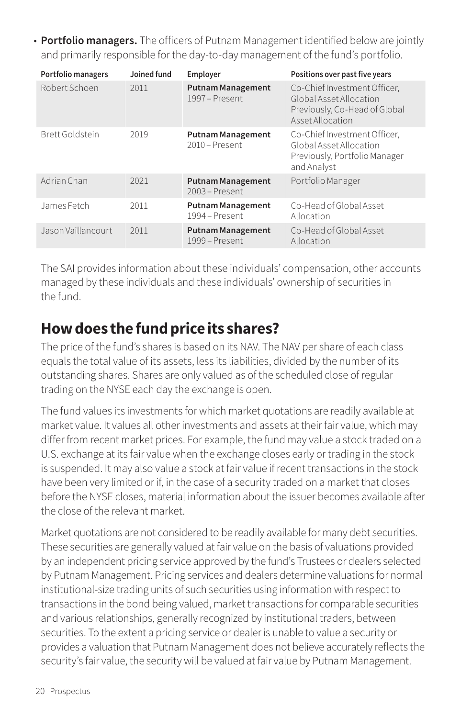• **Portfolio managers.** The officers of Putnam Management identified below are jointly and primarily responsible for the day-to-day management of the fund's portfolio.

| Portfolio managers | Joined fund | Employer                                   | Positions over past five years                                                                               |
|--------------------|-------------|--------------------------------------------|--------------------------------------------------------------------------------------------------------------|
| Robert Schoen      | 2011        | <b>Putnam Management</b><br>1997 – Present | Co-Chief Investment Officer,<br>Global Asset Allocation<br>Previously, Co-Head of Global<br>Asset Allocation |
| Brett Goldstein    | 2019        | <b>Putnam Management</b><br>2010 - Present | Co-Chief Investment Officer,<br>Global Asset Allocation<br>Previously, Portfolio Manager<br>and Analyst      |
| Adrian Chan        | 2021        | <b>Putnam Management</b><br>2003 - Present | Portfolio Manager                                                                                            |
| James Fetch        | 2011        | <b>Putnam Management</b><br>1994 – Present | Co-Head of Global Asset<br>Allocation                                                                        |
| Jason Vaillancourt | 2011        | <b>Putnam Management</b><br>1999 – Present | Co-Head of Global Asset<br>Allocation                                                                        |

The SAI provides information about these individuals' compensation, other accounts managed by these individuals and these individuals' ownership of securities in the fund.

# **How does the fund price its shares?**

The price of the fund's shares is based on its NAV. The NAV per share of each class equals the total value of its assets, less its liabilities, divided by the number of its outstanding shares. Shares are only valued as of the scheduled close of regular trading on the NYSE each day the exchange is open.

The fund values its investments for which market quotations are readily available at market value. It values all other investments and assets at their fair value, which may differ from recent market prices. For example, the fund may value a stock traded on a U.S. exchange at its fair value when the exchange closes early or trading in the stock is suspended. It may also value a stock at fair value if recent transactions in the stock have been very limited or if, in the case of a security traded on a market that closes before the NYSE closes, material information about the issuer becomes available after the close of the relevant market.

Market quotations are not considered to be readily available for many debt securities. These securities are generally valued at fair value on the basis of valuations provided by an independent pricing service approved by the fund's Trustees or dealers selected by Putnam Management. Pricing services and dealers determine valuations for normal institutional-size trading units of such securities using information with respect to transactions in the bond being valued, market transactions for comparable securities and various relationships, generally recognized by institutional traders, between securities. To the extent a pricing service or dealer is unable to value a security or provides a valuation that Putnam Management does not believe accurately reflects the security's fair value, the security will be valued at fair value by Putnam Management.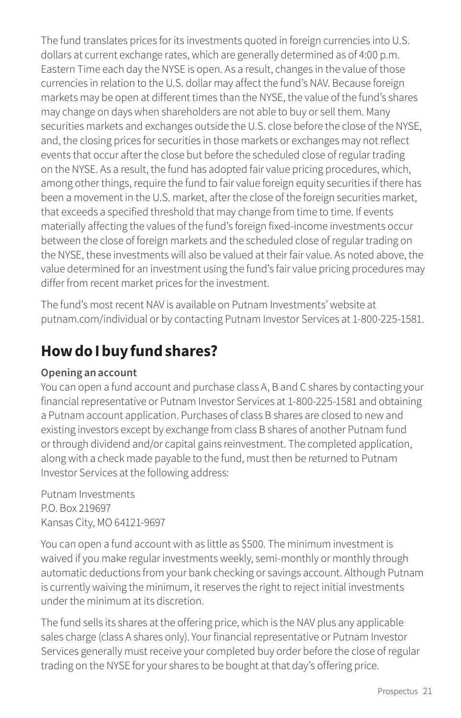The fund translates prices for its investments quoted in foreign currencies into U.S. dollars at current exchange rates, which are generally determined as of 4:00 p.m. Eastern Time each day the NYSE is open. As a result, changes in the value of those currencies in relation to the U.S. dollar may affect the fund's NAV. Because foreign markets may be open at different times than the NYSE, the value of the fund's shares may change on days when shareholders are not able to buy or sell them. Many securities markets and exchanges outside the U.S. close before the close of the NYSE, and, the closing prices for securities in those markets or exchanges may not reflect events that occur after the close but before the scheduled close of regular trading on the NYSE. As a result, the fund has adopted fair value pricing procedures, which, among other things, require the fund to fair value foreign equity securities if there has been a movement in the U.S. market, after the close of the foreign securities market, that exceeds a specified threshold that may change from time to time. If events materially affecting the values of the fund's foreign fixed-income investments occur between the close of foreign markets and the scheduled close of regular trading on the NYSE, these investments will also be valued at their fair value. As noted above, the value determined for an investment using the fund's fair value pricing procedures may differ from recent market prices for the investment.

The fund's most recent NAV is available on Putnam Investments' website at [putnam.com/individual](https://www.putnam.com/individual?ref=SP735.pdf) or by contacting Putnam Investor Services at 1-800-225-1581.

# **How do I buy fund shares?**

#### **Opening an account**

You can open a fund account and purchase class A, B and C shares by contacting your financial representative or Putnam Investor Services at 1-800-225-1581 and obtaining a Putnam account application. Purchases of class B shares are closed to new and existing investors except by exchange from class B shares of another Putnam fund or through dividend and/or capital gains reinvestment. The completed application, along with a check made payable to the fund, must then be returned to Putnam Investor Services at the following address:

Putnam Investments P.O. Box 219697 Kansas City, MO 64121-9697

You can open a fund account with as little as \$500. The minimum investment is waived if you make regular investments weekly, semi-monthly or monthly through automatic deductions from your bank checking or savings account. Although Putnam is currently waiving the minimum, it reserves the right to reject initial investments under the minimum at its discretion.

The fund sells its shares at the offering price, which is the NAV plus any applicable sales charge (class A shares only). Your financial representative or Putnam Investor Services generally must receive your completed buy order before the close of regular trading on the NYSE for your shares to be bought at that day's offering price.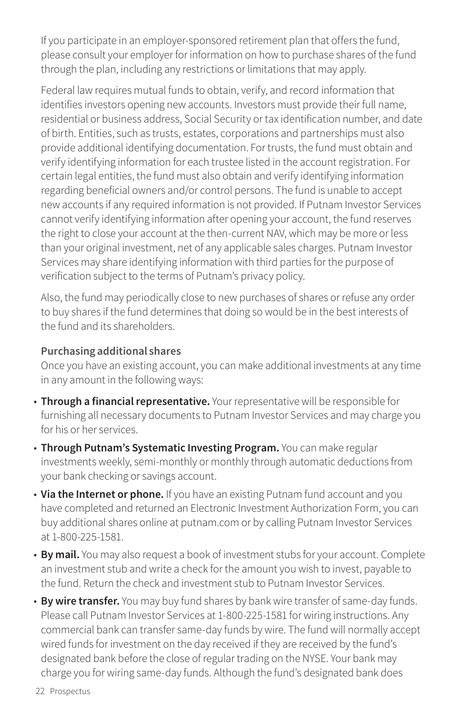If you participate in an employer-sponsored retirement plan that offers the fund, please consult your employer for information on how to purchase shares of the fund through the plan, including any restrictions or limitations that may apply.

Federal law requires mutual funds to obtain, verify, and record information that identifies investors opening new accounts. Investors must provide their full name, residential or business address, Social Security or tax identification number, and date of birth. Entities, such as trusts, estates, corporations and partnerships must also provide additional identifying documentation. For trusts, the fund must obtain and verify identifying information for each trustee listed in the account registration. For certain legal entities, the fund must also obtain and verify identifying information regarding beneficial owners and/or control persons. The fund is unable to accept new accounts if any required information is not provided. If Putnam Investor Services cannot verify identifying information after opening your account, the fund reserves the right to close your account at the then-current NAV, which may be more or less than your original investment, net of any applicable sales charges. Putnam Investor Services may share identifying information with third parties for the purpose of verification subject to the terms of Putnam's privacy policy.

Also, the fund may periodically close to new purchases of shares or refuse any order to buy shares if the fund determines that doing so would be in the best interests of the fund and its shareholders.

#### **Purchasing additional shares**

Once you have an existing account, you can make additional investments at any time in any amount in the following ways:

- **Through a financial representative.** Your representative will be responsible for furnishing all necessary documents to Putnam Investor Services and may charge you for his or her services.
- **Through Putnam's Systematic Investing Program.** You can make regular investments weekly, semi-monthly or monthly through automatic deductions from your bank checking or savings account.
- **Via the Internet or phone.** If you have an existing Putnam fund account and you have completed and returned an Electronic Investment Authorization Form, you can buy additional shares online at [putnam.com](https://www.putnam.com/?ref=SP735.pdf) or by calling Putnam Investor Services at 1-800-225-1581.
- **By mail.** You may also request a book of investment stubs for your account. Complete an investment stub and write a check for the amount you wish to invest, payable to the fund. Return the check and investment stub to Putnam Investor Services.
- **By wire transfer.** You may buy fund shares by bank wire transfer of same-day funds. Please call Putnam Investor Services at 1-800-225-1581 for wiring instructions. Any commercial bank can transfer same-day funds by wire. The fund will normally accept wired funds for investment on the day received if they are received by the fund's designated bank before the close of regular trading on the NYSE. Your bank may charge you for wiring same-day funds. Although the fund's designated bank does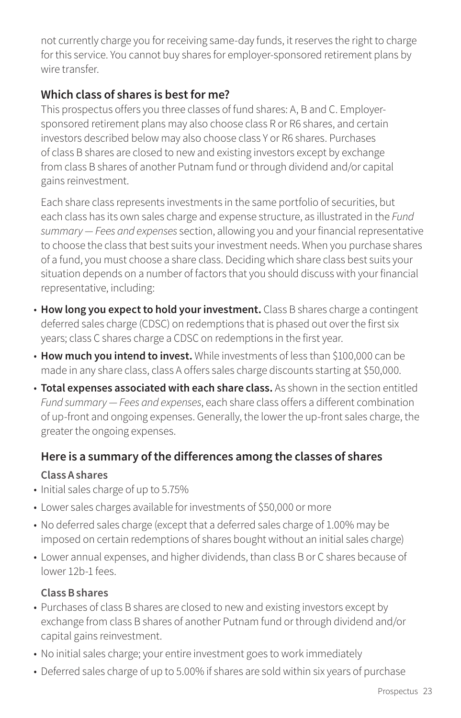not currently charge you for receiving same-day funds, it reserves the right to charge for this service. You cannot buy shares for employer-sponsored retirement plans by wire transfer.

# **Which class of shares is best for me?**

This prospectus offers you three classes of fund shares: A, B and C. Employersponsored retirement plans may also choose class R or R6 shares, and certain investors described below may also choose class Y or R6 shares. Purchases of class B shares are closed to new and existing investors except by exchange from class B shares of another Putnam fund or through dividend and/or capital gains reinvestment.

Each share class represents investments in the same portfolio of securities, but each class has its own sales charge and expense structure, as illustrated in the *Fund summary — Fees and expenses* section, allowing you and your financial representative to choose the class that best suits your investment needs. When you purchase shares of a fund, you must choose a share class. Deciding which share class best suits your situation depends on a number of factors that you should discuss with your financial representative, including:

- **How long you expect to hold your investment.** Class B shares charge a contingent deferred sales charge (CDSC) on redemptions that is phased out over the first six years; class C shares charge a CDSC on redemptions in the first year.
- **How much you intend to invest.** While investments of less than \$100,000 can be made in any share class, class A offers sales charge discounts starting at \$50,000.
- **Total expenses associated with each share class.** As shown in the section entitled *Fund summary — Fees and expenses*, each share class offers a different combination of up-front and ongoing expenses. Generally, the lower the up-front sales charge, the greater the ongoing expenses.

## **Here is a summary of the differences among the classes of shares**

#### **Class A shares**

- Initial sales charge of up to 5.75%
- Lower sales charges available for investments of \$50,000 or more
- No deferred sales charge (except that a deferred sales charge of 1.00% may be imposed on certain redemptions of shares bought without an initial sales charge)
- Lower annual expenses, and higher dividends, than class B or C shares because of lower 12b-1 fees.

#### **Class B shares**

- Purchases of class B shares are closed to new and existing investors except by exchange from class B shares of another Putnam fund or through dividend and/or capital gains reinvestment.
- No initial sales charge; your entire investment goes to work immediately
- Deferred sales charge of up to 5.00% if shares are sold within six years of purchase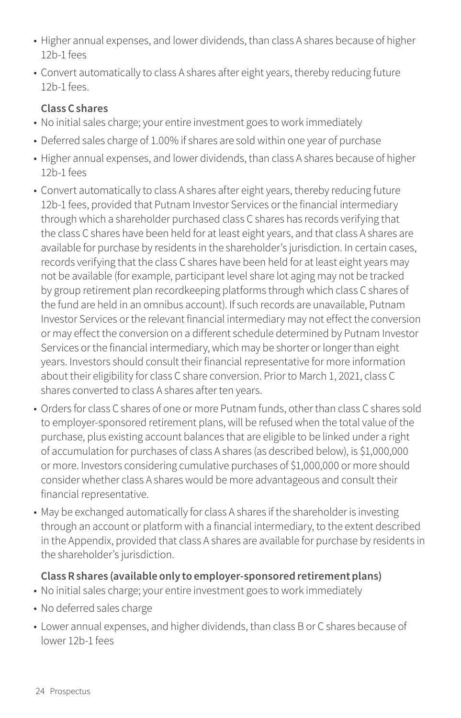- Higher annual expenses, and lower dividends, than class A shares because of higher 12b-1 fees
- Convert automatically to class A shares after eight years, thereby reducing future 12b-1 fees.

#### **Class C shares**

- No initial sales charge; your entire investment goes to work immediately
- Deferred sales charge of 1.00% if shares are sold within one year of purchase
- Higher annual expenses, and lower dividends, than class A shares because of higher 12b-1 fees
- Convert automatically to class A shares after eight years, thereby reducing future 12b-1 fees, provided that Putnam Investor Services or the financial intermediary through which a shareholder purchased class C shares has records verifying that the class C shares have been held for at least eight years, and that class A shares are available for purchase by residents in the shareholder's jurisdiction. In certain cases, records verifying that the class C shares have been held for at least eight years may not be available (for example, participant level share lot aging may not be tracked by group retirement plan recordkeeping platforms through which class C shares of the fund are held in an omnibus account). If such records are unavailable, Putnam Investor Services or the relevant financial intermediary may not effect the conversion or may effect the conversion on a different schedule determined by Putnam Investor Services or the financial intermediary, which may be shorter or longer than eight years. Investors should consult their financial representative for more information about their eligibility for class C share conversion. Prior to March 1, 2021, class C shares converted to class A shares after ten years.
- Orders for class C shares of one or more Putnam funds, other than class C shares sold to employer-sponsored retirement plans, will be refused when the total value of the purchase, plus existing account balances that are eligible to be linked under a right of accumulation for purchases of class A shares (as described below), is \$1,000,000 or more. Investors considering cumulative purchases of \$1,000,000 or more should consider whether class A shares would be more advantageous and consult their financial representative.
- May be exchanged automatically for class A shares if the shareholder is investing through an account or platform with a financial intermediary, to the extent described in the Appendix, provided that class A shares are available for purchase by residents in the shareholder's jurisdiction.

#### **Class R shares (available only to employer-sponsored retirement plans)**

- No initial sales charge; your entire investment goes to work immediately
- No deferred sales charge
- Lower annual expenses, and higher dividends, than class B or C shares because of lower 12b-1 fees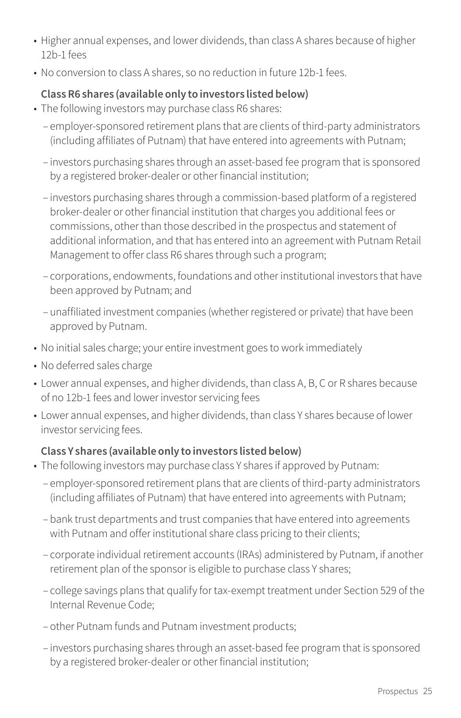- Higher annual expenses, and lower dividends, than class A shares because of higher 12b-1 fees
- No conversion to class A shares, so no reduction in future 12b-1 fees.

#### **Class R6 shares (available only to investors listed below)**

- The following investors may purchase class R6 shares:
	- employer-sponsored retirement plans that are clients of third-party administrators (including affiliates of Putnam) that have entered into agreements with Putnam;
	- investors purchasing shares through an asset-based fee program that is sponsored by a registered broker-dealer or other financial institution;
	- investors purchasing shares through a commission-based platform of a registered broker-dealer or other financial institution that charges you additional fees or commissions, other than those described in the prospectus and statement of additional information, and that has entered into an agreement with Putnam Retail Management to offer class R6 shares through such a program;
	- corporations, endowments, foundations and other institutional investors that have been approved by Putnam; and
	- unaffiliated investment companies (whether registered or private) that have been approved by Putnam.
- No initial sales charge; your entire investment goes to work immediately
- No deferred sales charge
- Lower annual expenses, and higher dividends, than class A, B, C or R shares because of no 12b-1 fees and lower investor servicing fees
- Lower annual expenses, and higher dividends, than class Y shares because of lower investor servicing fees.

#### **Class Y shares (available only to investors listed below)**

- The following investors may purchase class Y shares if approved by Putnam:
	- employer-sponsored retirement plans that are clients of third-party administrators (including affiliates of Putnam) that have entered into agreements with Putnam;
	- bank trust departments and trust companies that have entered into agreements with Putnam and offer institutional share class pricing to their clients;
	- corporate individual retirement accounts (IRAs) administered by Putnam, if another retirement plan of the sponsor is eligible to purchase class Y shares;
	- college savings plans that qualify for tax-exempt treatment under Section 529 of the Internal Revenue Code;
	- other Putnam funds and Putnam investment products;
	- investors purchasing shares through an asset-based fee program that is sponsored by a registered broker-dealer or other financial institution;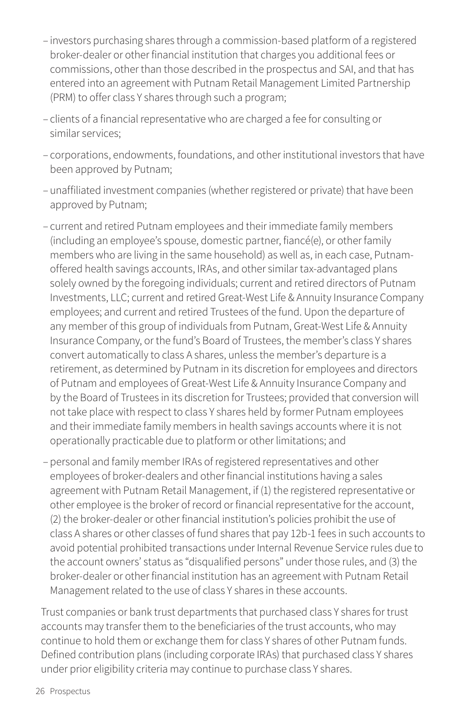- investors purchasing shares through a commission-based platform of a registered broker-dealer or other financial institution that charges you additional fees or commissions, other than those described in the prospectus and SAI, and that has entered into an agreement with Putnam Retail Management Limited Partnership (PRM) to offer class Y shares through such a program;
- clients of a financial representative who are charged a fee for consulting or similar services;
- corporations, endowments, foundations, and other institutional investors that have been approved by Putnam;
- unaffiliated investment companies (whether registered or private) that have been approved by Putnam;
- current and retired Putnam employees and their immediate family members (including an employee's spouse, domestic partner, fiancé(e), or other family members who are living in the same household) as well as, in each case, Putnamoffered health savings accounts, IRAs, and other similar tax-advantaged plans solely owned by the foregoing individuals; current and retired directors of Putnam Investments, LLC; current and retired Great-West Life & Annuity Insurance Company employees; and current and retired Trustees of the fund. Upon the departure of any member of this group of individuals from Putnam, Great-West Life & Annuity Insurance Company, or the fund's Board of Trustees, the member's class Y shares convert automatically to class A shares, unless the member's departure is a retirement, as determined by Putnam in its discretion for employees and directors of Putnam and employees of Great-West Life & Annuity Insurance Company and by the Board of Trustees in its discretion for Trustees; provided that conversion will not take place with respect to class Y shares held by former Putnam employees and their immediate family members in health savings accounts where it is not operationally practicable due to platform or other limitations; and
- personal and family member IRAs of registered representatives and other employees of broker-dealers and other financial institutions having a sales agreement with Putnam Retail Management, if (1) the registered representative or other employee is the broker of record or financial representative for the account, (2) the broker-dealer or other financial institution's policies prohibit the use of class A shares or other classes of fund shares that pay 12b-1 fees in such accounts to avoid potential prohibited transactions under Internal Revenue Service rules due to the account owners' status as "disqualified persons" under those rules, and (3) the broker-dealer or other financial institution has an agreement with Putnam Retail Management related to the use of class Y shares in these accounts.

Trust companies or bank trust departments that purchased class Y shares for trust accounts may transfer them to the beneficiaries of the trust accounts, who may continue to hold them or exchange them for class Y shares of other Putnam funds. Defined contribution plans (including corporate IRAs) that purchased class Y shares under prior eligibility criteria may continue to purchase class Y shares.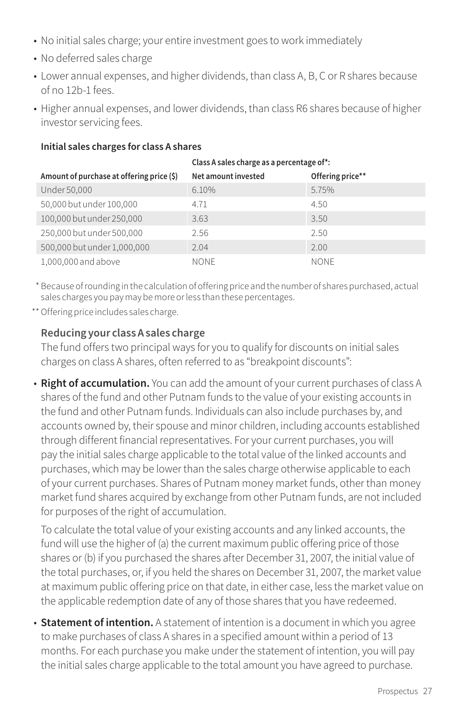- No initial sales charge; your entire investment goes to work immediately
- No deferred sales charge
- Lower annual expenses, and higher dividends, than class A, B, C or R shares because of no 12b-1 fees.
- Higher annual expenses, and lower dividends, than class R6 shares because of higher investor servicing fees.

|                                           | Class A sales charge as a percentage of*: |                  |  |  |  |
|-------------------------------------------|-------------------------------------------|------------------|--|--|--|
| Amount of purchase at offering price (\$) | Net amount invested                       | Offering price** |  |  |  |
| Under 50,000                              | 6.10%                                     | 5.75%            |  |  |  |
| 50,000 but under 100,000                  | 4.71                                      | 4.50             |  |  |  |
| 100,000 but under 250,000                 | 3.63                                      | 3.50             |  |  |  |
| 250,000 but under 500,000                 | 2.56                                      | 2.50             |  |  |  |
| 500,000 but under 1,000,000               | 2.04                                      | 2.00             |  |  |  |
| 1.000.000 and above                       | <b>NONE</b>                               | <b>NONE</b>      |  |  |  |

#### **Initial sales charges for class A shares**

\* Because of rounding in the calculation of offering price and the number of shares purchased, actual sales charges you pay may be more or less than these percentages.

\*\*Offering price includes sales charge.

#### **Reducing your class A sales charge**

The fund offers two principal ways for you to qualify for discounts on initial sales charges on class A shares, often referred to as "breakpoint discounts":

• **Right of accumulation.** You can add the amount of your current purchases of class A shares of the fund and other Putnam funds to the value of your existing accounts in the fund and other Putnam funds. Individuals can also include purchases by, and accounts owned by, their spouse and minor children, including accounts established through different financial representatives. For your current purchases, you will pay the initial sales charge applicable to the total value of the linked accounts and purchases, which may be lower than the sales charge otherwise applicable to each of your current purchases. Shares of Putnam money market funds, other than money market fund shares acquired by exchange from other Putnam funds, are not included for purposes of the right of accumulation.

To calculate the total value of your existing accounts and any linked accounts, the fund will use the higher of (a) the current maximum public offering price of those shares or (b) if you purchased the shares after December 31, 2007, the initial value of the total purchases, or, if you held the shares on December 31, 2007, the market value at maximum public offering price on that date, in either case, less the market value on the applicable redemption date of any of those shares that you have redeemed.

• **Statement of intention.** A statement of intention is a document in which you agree to make purchases of class A shares in a specified amount within a period of 13 months. For each purchase you make under the statement of intention, you will pay the initial sales charge applicable to the total amount you have agreed to purchase.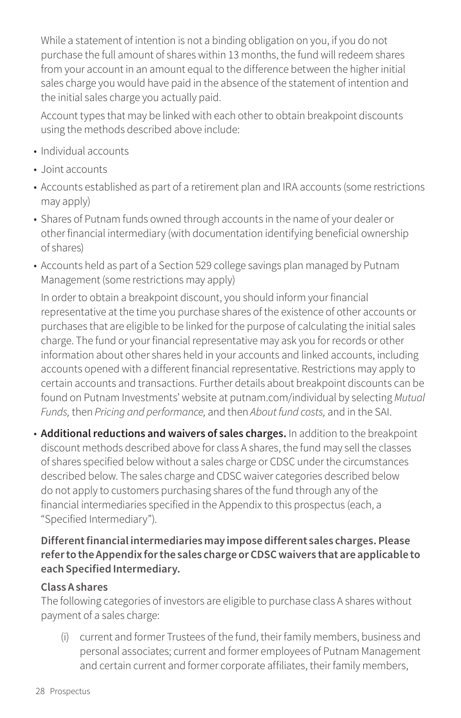While a statement of intention is not a binding obligation on you, if you do not purchase the full amount of shares within 13 months, the fund will redeem shares from your account in an amount equal to the difference between the higher initial sales charge you would have paid in the absence of the statement of intention and the initial sales charge you actually paid.

Account types that may be linked with each other to obtain breakpoint discounts using the methods described above include:

- Individual accounts
- Joint accounts
- Accounts established as part of a retirement plan and IRA accounts (some restrictions may apply)
- Shares of Putnam funds owned through accounts in the name of your dealer or other financial intermediary (with documentation identifying beneficial ownership of shares)
- Accounts held as part of a Section 529 college savings plan managed by Putnam Management (some restrictions may apply)

In order to obtain a breakpoint discount, you should inform your financial representative at the time you purchase shares of the existence of other accounts or purchases that are eligible to be linked for the purpose of calculating the initial sales charge. The fund or your financial representative may ask you for records or other information about other shares held in your accounts and linked accounts, including accounts opened with a different financial representative. Restrictions may apply to certain accounts and transactions. Further details about breakpoint discounts can be found on Putnam Investments' website at [putnam.com/individual](https://www.putnam.com/individual?ref=SP735.pdf) by selecting *Mutual Funds,* then *Pricing and performance,* and then *About fund costs,* and in the SAI.

• **Additional reductions and waivers of sales charges.** In addition to the breakpoint discount methods described above for class A shares, the fund may sell the classes of shares specified below without a sales charge or CDSC under the circumstances described below. The sales charge and CDSC waiver categories described below do not apply to customers purchasing shares of the fund through any of the financial intermediaries specified in the Appendix to this prospectus (each, a "Specified Intermediary").

#### **Different financial intermediaries may impose different sales charges. Please refer to the Appendix for the sales charge or CDSC waivers that are applicable to each Specified Intermediary.**

#### **Class A shares**

The following categories of investors are eligible to purchase class A shares without payment of a sales charge:

(i) current and former Trustees of the fund, their family members, business and personal associates; current and former employees of Putnam Management and certain current and former corporate affiliates, their family members,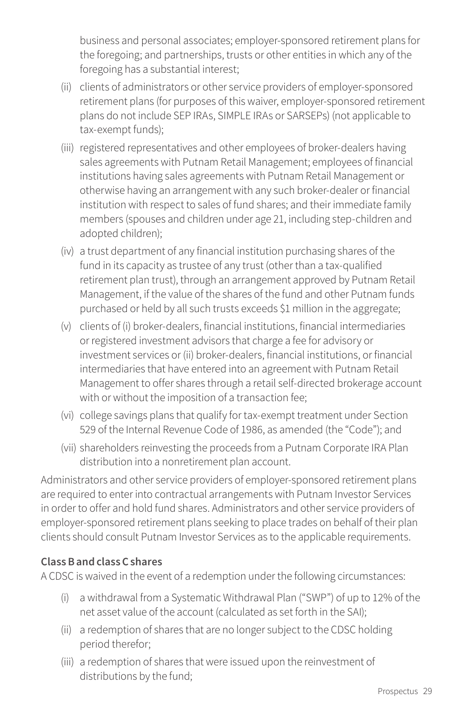business and personal associates; employer-sponsored retirement plans for the foregoing; and partnerships, trusts or other entities in which any of the foregoing has a substantial interest;

- (ii) clients of administrators or other service providers of employer-sponsored retirement plans (for purposes of this waiver, employer-sponsored retirement plans do not include SEP IRAs, SIMPLE IRAs or SARSEPs) (not applicable to tax-exempt funds);
- (iii) registered representatives and other employees of broker-dealers having sales agreements with Putnam Retail Management; employees of financial institutions having sales agreements with Putnam Retail Management or otherwise having an arrangement with any such broker-dealer or financial institution with respect to sales of fund shares; and their immediate family members (spouses and children under age 21, including step-children and adopted children);
- (iv) a trust department of any financial institution purchasing shares of the fund in its capacity as trustee of any trust (other than a tax-qualified retirement plan trust), through an arrangement approved by Putnam Retail Management, if the value of the shares of the fund and other Putnam funds purchased or held by all such trusts exceeds \$1 million in the aggregate;
- (v) clients of (i) broker-dealers, financial institutions, financial intermediaries or registered investment advisors that charge a fee for advisory or investment services or (ii) broker-dealers, financial institutions, or financial intermediaries that have entered into an agreement with Putnam Retail Management to offer shares through a retail self-directed brokerage account with or without the imposition of a transaction fee;
- (vi) college savings plans that qualify for tax-exempt treatment under Section 529 of the Internal Revenue Code of 1986, as amended (the "Code"); and
- (vii) shareholders reinvesting the proceeds from a Putnam Corporate IRA Plan distribution into a nonretirement plan account.

Administrators and other service providers of employer-sponsored retirement plans are required to enter into contractual arrangements with Putnam Investor Services in order to offer and hold fund shares. Administrators and other service providers of employer-sponsored retirement plans seeking to place trades on behalf of their plan clients should consult Putnam Investor Services as to the applicable requirements.

#### **Class B and class C shares**

A CDSC is waived in the event of a redemption under the following circumstances:

- (i) a withdrawal from a Systematic Withdrawal Plan ("SWP") of up to 12% of the net asset value of the account (calculated as set forth in the SAI);
- (ii) a redemption of shares that are no longer subject to the CDSC holding period therefor;
- (iii) a redemption of shares that were issued upon the reinvestment of distributions by the fund;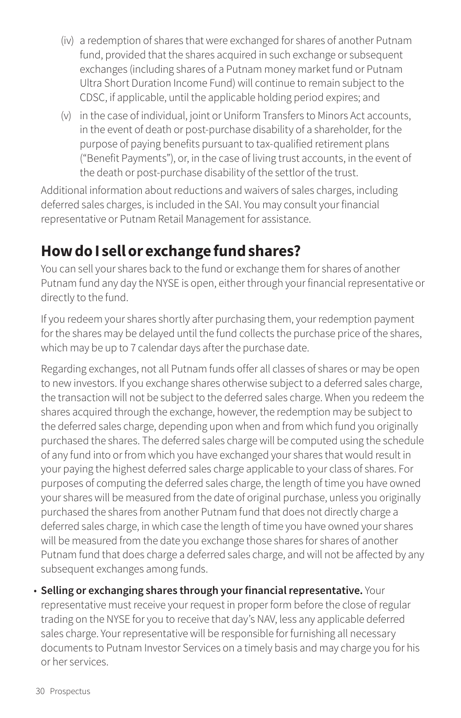- (iv) a redemption of shares that were exchanged for shares of another Putnam fund, provided that the shares acquired in such exchange or subsequent exchanges (including shares of a Putnam money market fund or Putnam Ultra Short Duration Income Fund) will continue to remain subject to the CDSC, if applicable, until the applicable holding period expires; and
- (v) in the case of individual, joint or Uniform Transfers to Minors Act accounts, in the event of death or post-purchase disability of a shareholder, for the purpose of paying benefits pursuant to tax-qualified retirement plans ("Benefit Payments"), or, in the case of living trust accounts, in the event of the death or post-purchase disability of the settlor of the trust.

Additional information about reductions and waivers of sales charges, including deferred sales charges, is included in the SAI. You may consult your financial representative or Putnam Retail Management for assistance.

# **How do I sell or exchange fund shares?**

You can sell your shares back to the fund or exchange them for shares of another Putnam fund any day the NYSE is open, either through your financial representative or directly to the fund.

If you redeem your shares shortly after purchasing them, your redemption payment for the shares may be delayed until the fund collects the purchase price of the shares, which may be up to 7 calendar days after the purchase date.

Regarding exchanges, not all Putnam funds offer all classes of shares or may be open to new investors. If you exchange shares otherwise subject to a deferred sales charge, the transaction will not be subject to the deferred sales charge. When you redeem the shares acquired through the exchange, however, the redemption may be subject to the deferred sales charge, depending upon when and from which fund you originally purchased the shares. The deferred sales charge will be computed using the schedule of any fund into or from which you have exchanged your shares that would result in your paying the highest deferred sales charge applicable to your class of shares. For purposes of computing the deferred sales charge, the length of time you have owned your shares will be measured from the date of original purchase, unless you originally purchased the shares from another Putnam fund that does not directly charge a deferred sales charge, in which case the length of time you have owned your shares will be measured from the date you exchange those shares for shares of another Putnam fund that does charge a deferred sales charge, and will not be affected by any subsequent exchanges among funds.

• **Selling or exchanging shares through your financial representative.** Your representative must receive your request in proper form before the close of regular trading on the NYSE for you to receive that day's NAV, less any applicable deferred sales charge. Your representative will be responsible for furnishing all necessary documents to Putnam Investor Services on a timely basis and may charge you for his or her services.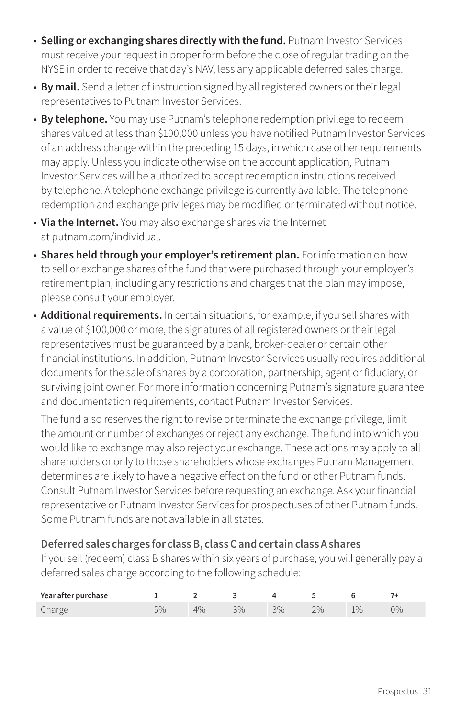- **Selling or exchanging shares directly with the fund.** Putnam Investor Services must receive your request in proper form before the close of regular trading on the NYSE in order to receive that day's NAV, less any applicable deferred sales charge.
- **By mail.** Send a letter of instruction signed by all registered owners or their legal representatives to Putnam Investor Services.
- **By telephone.** You may use Putnam's telephone redemption privilege to redeem shares valued at less than \$100,000 unless you have notified Putnam Investor Services of an address change within the preceding 15 days, in which case other requirements may apply. Unless you indicate otherwise on the account application, Putnam Investor Services will be authorized to accept redemption instructions received by telephone. A telephone exchange privilege is currently available. The telephone redemption and exchange privileges may be modified or terminated without notice.
- **Via the Internet.** You may also exchange shares via the Internet at [putnam.com/individual.](https://www.putnam.com/individual?ref=SP735.pdf)
- **Shares held through your employer's retirement plan.** For information on how to sell or exchange shares of the fund that were purchased through your employer's retirement plan, including any restrictions and charges that the plan may impose, please consult your employer.
- **Additional requirements.** In certain situations, for example, if you sell shares with a value of \$100,000 or more, the signatures of all registered owners or their legal representatives must be guaranteed by a bank, broker-dealer or certain other financial institutions. In addition, Putnam Investor Services usually requires additional documents for the sale of shares by a corporation, partnership, agent or fiduciary, or surviving joint owner. For more information concerning Putnam's signature guarantee and documentation requirements, contact Putnam Investor Services.

The fund also reserves the right to revise or terminate the exchange privilege, limit the amount or number of exchanges or reject any exchange. The fund into which you would like to exchange may also reject your exchange. These actions may apply to all shareholders or only to those shareholders whose exchanges Putnam Management determines are likely to have a negative effect on the fund or other Putnam funds. Consult Putnam Investor Services before requesting an exchange. Ask your financial representative or Putnam Investor Services for prospectuses of other Putnam funds. Some Putnam funds are not available in all states.

#### **Deferred sales charges for class B, class C and certain class A shares**

If you sell (redeem) class B shares within six years of purchase, you will generally pay a deferred sales charge according to the following schedule:

| Year after purchase |  |      |      |    |      |    |
|---------------------|--|------|------|----|------|----|
| Charge              |  | 20/0 | 20/0 | 2% | 10/0 | 0% |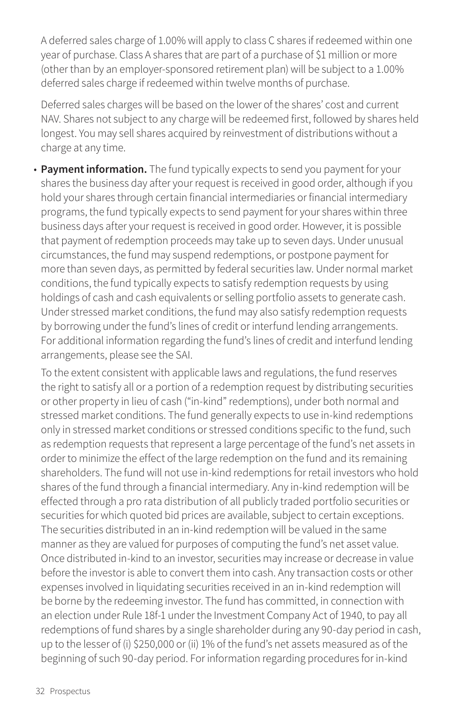A deferred sales charge of 1.00% will apply to class C shares if redeemed within one year of purchase. Class A shares that are part of a purchase of \$1 million or more (other than by an employer-sponsored retirement plan) will be subject to a 1.00% deferred sales charge if redeemed within twelve months of purchase.

Deferred sales charges will be based on the lower of the shares' cost and current NAV. Shares not subject to any charge will be redeemed first, followed by shares held longest. You may sell shares acquired by reinvestment of distributions without a charge at any time.

• **Payment information.** The fund typically expects to send you payment for your shares the business day after your request is received in good order, although if you hold your shares through certain financial intermediaries or financial intermediary programs, the fund typically expects to send payment for your shares within three business days after your request is received in good order. However, it is possible that payment of redemption proceeds may take up to seven days. Under unusual circumstances, the fund may suspend redemptions, or postpone payment for more than seven days, as permitted by federal securities law. Under normal market conditions, the fund typically expects to satisfy redemption requests by using holdings of cash and cash equivalents or selling portfolio assets to generate cash. Under stressed market conditions, the fund may also satisfy redemption requests by borrowing under the fund's lines of credit or interfund lending arrangements. For additional information regarding the fund's lines of credit and interfund lending arrangements, please see the SAI.

To the extent consistent with applicable laws and regulations, the fund reserves the right to satisfy all or a portion of a redemption request by distributing securities or other property in lieu of cash ("in-kind" redemptions), under both normal and stressed market conditions. The fund generally expects to use in-kind redemptions only in stressed market conditions or stressed conditions specific to the fund, such as redemption requests that represent a large percentage of the fund's net assets in order to minimize the effect of the large redemption on the fund and its remaining shareholders. The fund will not use in-kind redemptions for retail investors who hold shares of the fund through a financial intermediary. Any in-kind redemption will be effected through a pro rata distribution of all publicly traded portfolio securities or securities for which quoted bid prices are available, subject to certain exceptions. The securities distributed in an in-kind redemption will be valued in the same manner as they are valued for purposes of computing the fund's net asset value. Once distributed in-kind to an investor, securities may increase or decrease in value before the investor is able to convert them into cash. Any transaction costs or other expenses involved in liquidating securities received in an in-kind redemption will be borne by the redeeming investor. The fund has committed, in connection with an election under Rule 18f-1 under the Investment Company Act of 1940, to pay all redemptions of fund shares by a single shareholder during any 90-day period in cash, up to the lesser of (i) \$250,000 or (ii) 1% of the fund's net assets measured as of the beginning of such 90-day period. For information regarding procedures for in-kind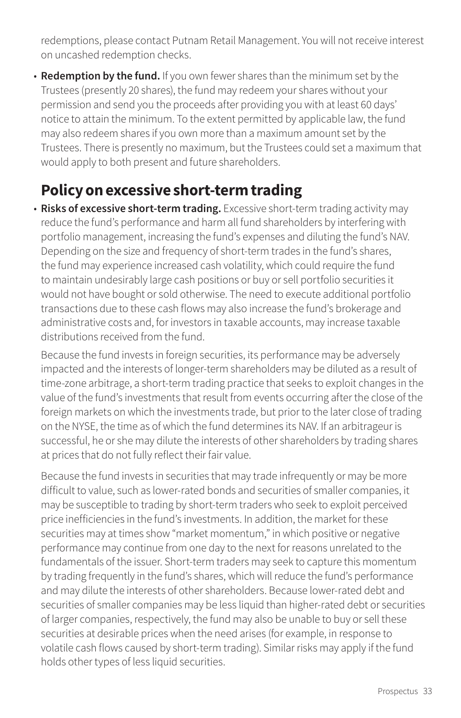redemptions, please contact Putnam Retail Management. You will not receive interest on uncashed redemption checks.

• **Redemption by the fund.** If you own fewer shares than the minimum set by the Trustees (presently 20 shares), the fund may redeem your shares without your permission and send you the proceeds after providing you with at least 60 days' notice to attain the minimum. To the extent permitted by applicable law, the fund may also redeem shares if you own more than a maximum amount set by the Trustees. There is presently no maximum, but the Trustees could set a maximum that would apply to both present and future shareholders.

# **Policy on excessive short-term trading**

• **Risks of excessive short-term trading.** Excessive short-term trading activity may reduce the fund's performance and harm all fund shareholders by interfering with portfolio management, increasing the fund's expenses and diluting the fund's NAV. Depending on the size and frequency of short-term trades in the fund's shares, the fund may experience increased cash volatility, which could require the fund to maintain undesirably large cash positions or buy or sell portfolio securities it would not have bought or sold otherwise. The need to execute additional portfolio transactions due to these cash flows may also increase the fund's brokerage and administrative costs and, for investors in taxable accounts, may increase taxable distributions received from the fund.

Because the fund invests in foreign securities, its performance may be adversely impacted and the interests of longer-term shareholders may be diluted as a result of time-zone arbitrage, a short-term trading practice that seeks to exploit changes in the value of the fund's investments that result from events occurring after the close of the foreign markets on which the investments trade, but prior to the later close of trading on the NYSE, the time as of which the fund determines its NAV. If an arbitrageur is successful, he or she may dilute the interests of other shareholders by trading shares at prices that do not fully reflect their fair value.

Because the fund invests in securities that may trade infrequently or may be more difficult to value, such as lower-rated bonds and securities of smaller companies, it may be susceptible to trading by short-term traders who seek to exploit perceived price inefficiencies in the fund's investments. In addition, the market for these securities may at times show "market momentum," in which positive or negative performance may continue from one day to the next for reasons unrelated to the fundamentals of the issuer. Short-term traders may seek to capture this momentum by trading frequently in the fund's shares, which will reduce the fund's performance and may dilute the interests of other shareholders. Because lower-rated debt and securities of smaller companies may be less liquid than higher-rated debt or securities of larger companies, respectively, the fund may also be unable to buy or sell these securities at desirable prices when the need arises (for example, in response to volatile cash flows caused by short-term trading). Similar risks may apply if the fund holds other types of less liquid securities.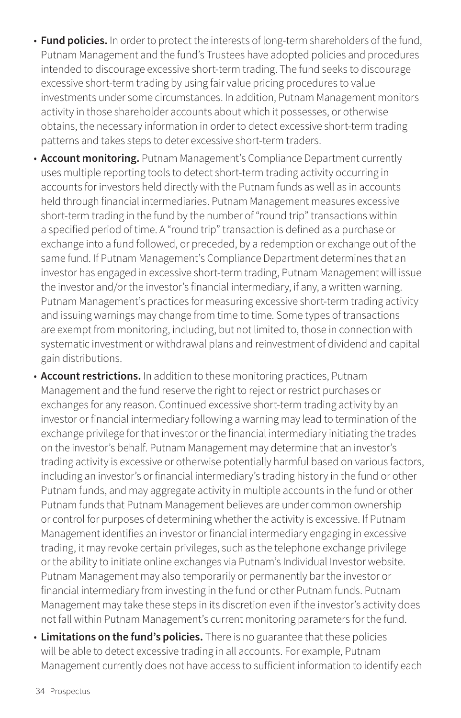- **Fund policies.** In order to protect the interests of long-term shareholders of the fund, Putnam Management and the fund's Trustees have adopted policies and procedures intended to discourage excessive short-term trading. The fund seeks to discourage excessive short-term trading by using fair value pricing procedures to value investments under some circumstances. In addition, Putnam Management monitors activity in those shareholder accounts about which it possesses, or otherwise obtains, the necessary information in order to detect excessive short-term trading patterns and takes steps to deter excessive short-term traders.
- **Account monitoring.** Putnam Management's Compliance Department currently uses multiple reporting tools to detect short-term trading activity occurring in accounts for investors held directly with the Putnam funds as well as in accounts held through financial intermediaries. Putnam Management measures excessive short-term trading in the fund by the number of "round trip" transactions within a specified period of time. A "round trip" transaction is defined as a purchase or exchange into a fund followed, or preceded, by a redemption or exchange out of the same fund. If Putnam Management's Compliance Department determines that an investor has engaged in excessive short-term trading, Putnam Management will issue the investor and/or the investor's financial intermediary, if any, a written warning. Putnam Management's practices for measuring excessive short-term trading activity and issuing warnings may change from time to time. Some types of transactions are exempt from monitoring, including, but not limited to, those in connection with systematic investment or withdrawal plans and reinvestment of dividend and capital gain distributions.
- **Account restrictions.** In addition to these monitoring practices, Putnam Management and the fund reserve the right to reject or restrict purchases or exchanges for any reason. Continued excessive short-term trading activity by an investor or financial intermediary following a warning may lead to termination of the exchange privilege for that investor or the financial intermediary initiating the trades on the investor's behalf. Putnam Management may determine that an investor's trading activity is excessive or otherwise potentially harmful based on various factors, including an investor's or financial intermediary's trading history in the fund or other Putnam funds, and may aggregate activity in multiple accounts in the fund or other Putnam funds that Putnam Management believes are under common ownership or control for purposes of determining whether the activity is excessive. If Putnam Management identifies an investor or financial intermediary engaging in excessive trading, it may revoke certain privileges, such as the telephone exchange privilege or the ability to initiate online exchanges via Putnam's Individual Investor website. Putnam Management may also temporarily or permanently bar the investor or financial intermediary from investing in the fund or other Putnam funds. Putnam Management may take these steps in its discretion even if the investor's activity does not fall within Putnam Management's current monitoring parameters for the fund.
- **Limitations on the fund's policies.** There is no guarantee that these policies will be able to detect excessive trading in all accounts. For example, Putnam Management currently does not have access to sufficient information to identify each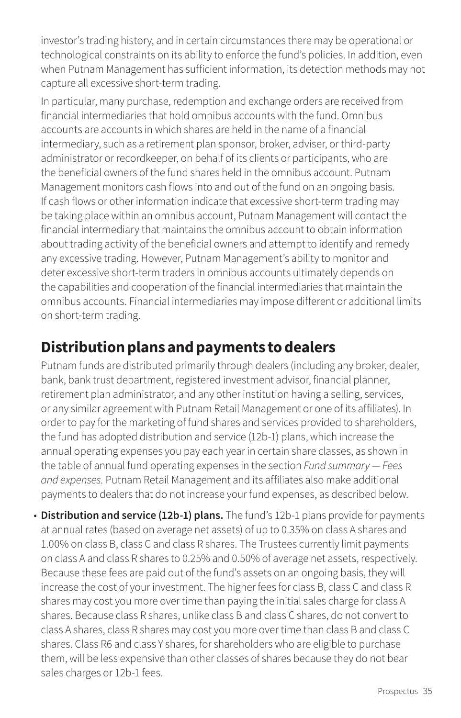investor's trading history, and in certain circumstances there may be operational or technological constraints on its ability to enforce the fund's policies. In addition, even when Putnam Management has sufficient information, its detection methods may not capture all excessive short-term trading.

In particular, many purchase, redemption and exchange orders are received from financial intermediaries that hold omnibus accounts with the fund. Omnibus accounts are accounts in which shares are held in the name of a financial intermediary, such as a retirement plan sponsor, broker, adviser, or third-party administrator or recordkeeper, on behalf of its clients or participants, who are the beneficial owners of the fund shares held in the omnibus account. Putnam Management monitors cash flows into and out of the fund on an ongoing basis. If cash flows or other information indicate that excessive short-term trading may be taking place within an omnibus account, Putnam Management will contact the financial intermediary that maintains the omnibus account to obtain information about trading activity of the beneficial owners and attempt to identify and remedy any excessive trading. However, Putnam Management's ability to monitor and deter excessive short-term traders in omnibus accounts ultimately depends on the capabilities and cooperation of the financial intermediaries that maintain the omnibus accounts. Financial intermediaries may impose different or additional limits on short-term trading.

# **Distribution plans and payments to dealers**

Putnam funds are distributed primarily through dealers (including any broker, dealer, bank, bank trust department, registered investment advisor, financial planner, retirement plan administrator, and any other institution having a selling, services, or any similar agreement with Putnam Retail Management or one of its affiliates). In order to pay for the marketing of fund shares and services provided to shareholders, the fund has adopted distribution and service (12b-1) plans, which increase the annual operating expenses you pay each year in certain share classes, as shown in the table of annual fund operating expenses in the section *Fund summary — Fees and expenses.* Putnam Retail Management and its affiliates also make additional payments to dealers that do not increase your fund expenses, as described below.

• **Distribution and service (12b-1) plans.** The fund's 12b-1 plans provide for payments at annual rates (based on average net assets) of up to 0.35% on class A shares and 1.00% on class B, class C and class R shares. The Trustees currently limit payments on class A and class R shares to 0.25% and 0.50% of average net assets, respectively. Because these fees are paid out of the fund's assets on an ongoing basis, they will increase the cost of your investment. The higher fees for class B, class C and class R shares may cost you more over time than paying the initial sales charge for class A shares. Because class R shares, unlike class B and class C shares, do not convert to class A shares, class R shares may cost you more over time than class B and class C shares. Class R6 and class Y shares, for shareholders who are eligible to purchase them, will be less expensive than other classes of shares because they do not bear sales charges or 12b-1 fees.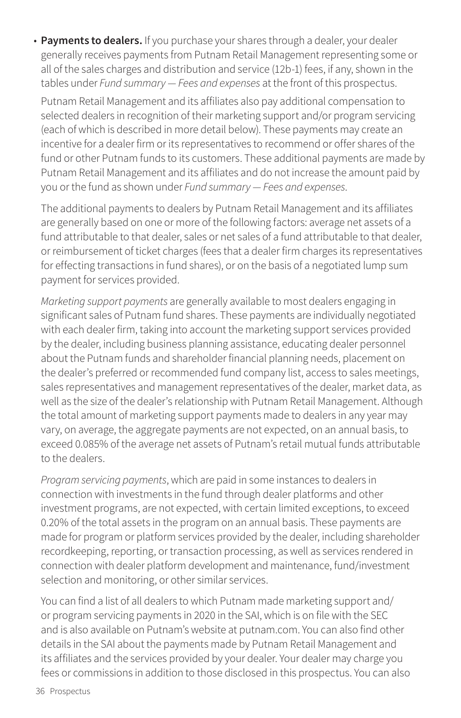• **Payments to dealers.** If you purchase your shares through a dealer, your dealer generally receives payments from Putnam Retail Management representing some or all of the sales charges and distribution and service (12b-1) fees, if any, shown in the tables under *Fund summary — Fees and expenses* at the front of this prospectus.

Putnam Retail Management and its affiliates also pay additional compensation to selected dealers in recognition of their marketing support and/or program servicing (each of which is described in more detail below). These payments may create an incentive for a dealer firm or its representatives to recommend or offer shares of the fund or other Putnam funds to its customers. These additional payments are made by Putnam Retail Management and its affiliates and do not increase the amount paid by you or the fund as shown under *Fund summary — Fees and expenses*.

The additional payments to dealers by Putnam Retail Management and its affiliates are generally based on one or more of the following factors: average net assets of a fund attributable to that dealer, sales or net sales of a fund attributable to that dealer, or reimbursement of ticket charges (fees that a dealer firm charges its representatives for effecting transactions in fund shares), or on the basis of a negotiated lump sum payment for services provided.

*Marketing support payments* are generally available to most dealers engaging in significant sales of Putnam fund shares. These payments are individually negotiated with each dealer firm, taking into account the marketing support services provided by the dealer, including business planning assistance, educating dealer personnel about the Putnam funds and shareholder financial planning needs, placement on the dealer's preferred or recommended fund company list, access to sales meetings, sales representatives and management representatives of the dealer, market data, as well as the size of the dealer's relationship with Putnam Retail Management. Although the total amount of marketing support payments made to dealers in any year may vary, on average, the aggregate payments are not expected, on an annual basis, to exceed 0.085% of the average net assets of Putnam's retail mutual funds attributable to the dealers.

*Program servicing payments*, which are paid in some instances to dealers in connection with investments in the fund through dealer platforms and other investment programs, are not expected, with certain limited exceptions, to exceed 0.20% of the total assets in the program on an annual basis. These payments are made for program or platform services provided by the dealer, including shareholder recordkeeping, reporting, or transaction processing, as well as services rendered in connection with dealer platform development and maintenance, fund/investment selection and monitoring, or other similar services.

You can find a list of all dealers to which Putnam made marketing support and/ or program servicing payments in 2020 in the SAI, which is on file with the SEC and is also available on Putnam's website at [putnam.com.](https://www.putnam.com?ref=SP735.pdf) You can also find other details in the SAI about the payments made by Putnam Retail Management and its affiliates and the services provided by your dealer. Your dealer may charge you fees or commissions in addition to those disclosed in this prospectus. You can also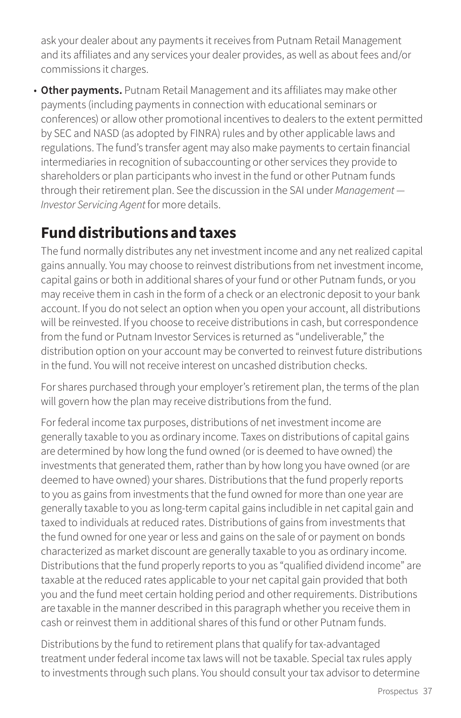ask your dealer about any payments it receives from Putnam Retail Management and its affiliates and any services your dealer provides, as well as about fees and/or commissions it charges.

• **Other payments.** Putnam Retail Management and its affiliates may make other payments (including payments in connection with educational seminars or conferences) or allow other promotional incentives to dealers to the extent permitted by SEC and NASD (as adopted by FINRA) rules and by other applicable laws and regulations. The fund's transfer agent may also make payments to certain financial intermediaries in recognition of subaccounting or other services they provide to shareholders or plan participants who invest in the fund or other Putnam funds through their retirement plan. See the discussion in the SAI under *Management — Investor Servicing Agent* for more details.

# **Fund distributions and taxes**

The fund normally distributes any net investment income and any net realized capital gains annually. You may choose to reinvest distributions from net investment income, capital gains or both in additional shares of your fund or other Putnam funds, or you may receive them in cash in the form of a check or an electronic deposit to your bank account. If you do not select an option when you open your account, all distributions will be reinvested. If you choose to receive distributions in cash, but correspondence from the fund or Putnam Investor Services is returned as "undeliverable," the distribution option on your account may be converted to reinvest future distributions in the fund. You will not receive interest on uncashed distribution checks.

For shares purchased through your employer's retirement plan, the terms of the plan will govern how the plan may receive distributions from the fund.

For federal income tax purposes, distributions of net investment income are generally taxable to you as ordinary income. Taxes on distributions of capital gains are determined by how long the fund owned (or is deemed to have owned) the investments that generated them, rather than by how long you have owned (or are deemed to have owned) your shares. Distributions that the fund properly reports to you as gains from investments that the fund owned for more than one year are generally taxable to you as long-term capital gains includible in net capital gain and taxed to individuals at reduced rates. Distributions of gains from investments that the fund owned for one year or less and gains on the sale of or payment on bonds characterized as market discount are generally taxable to you as ordinary income. Distributions that the fund properly reports to you as "qualified dividend income" are taxable at the reduced rates applicable to your net capital gain provided that both you and the fund meet certain holding period and other requirements. Distributions are taxable in the manner described in this paragraph whether you receive them in cash or reinvest them in additional shares of this fund or other Putnam funds.

Distributions by the fund to retirement plans that qualify for tax-advantaged treatment under federal income tax laws will not be taxable. Special tax rules apply to investments through such plans. You should consult your tax advisor to determine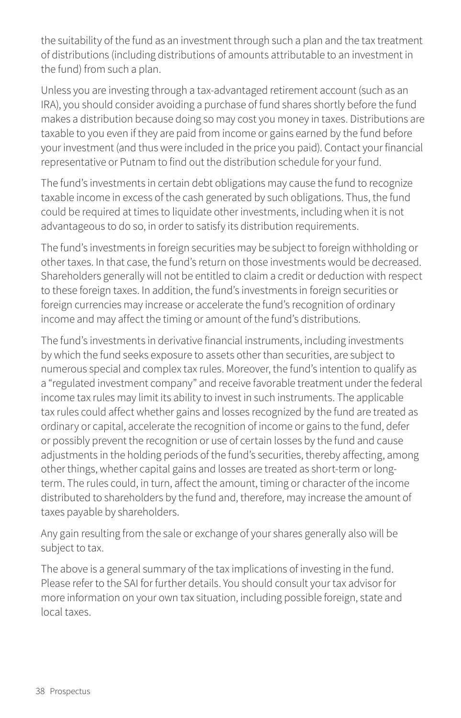the suitability of the fund as an investment through such a plan and the tax treatment of distributions (including distributions of amounts attributable to an investment in the fund) from such a plan.

Unless you are investing through a tax-advantaged retirement account (such as an IRA), you should consider avoiding a purchase of fund shares shortly before the fund makes a distribution because doing so may cost you money in taxes. Distributions are taxable to you even if they are paid from income or gains earned by the fund before your investment (and thus were included in the price you paid). Contact your financial representative or Putnam to find out the distribution schedule for your fund.

The fund's investments in certain debt obligations may cause the fund to recognize taxable income in excess of the cash generated by such obligations. Thus, the fund could be required at times to liquidate other investments, including when it is not advantageous to do so, in order to satisfy its distribution requirements.

The fund's investments in foreign securities may be subject to foreign withholding or other taxes. In that case, the fund's return on those investments would be decreased. Shareholders generally will not be entitled to claim a credit or deduction with respect to these foreign taxes. In addition, the fund's investments in foreign securities or foreign currencies may increase or accelerate the fund's recognition of ordinary income and may affect the timing or amount of the fund's distributions.

The fund's investments in derivative financial instruments, including investments by which the fund seeks exposure to assets other than securities, are subject to numerous special and complex tax rules. Moreover, the fund's intention to qualify as a "regulated investment company" and receive favorable treatment under the federal income tax rules may limit its ability to invest in such instruments. The applicable tax rules could affect whether gains and losses recognized by the fund are treated as ordinary or capital, accelerate the recognition of income or gains to the fund, defer or possibly prevent the recognition or use of certain losses by the fund and cause adjustments in the holding periods of the fund's securities, thereby affecting, among other things, whether capital gains and losses are treated as short-term or longterm. The rules could, in turn, affect the amount, timing or character of the income distributed to shareholders by the fund and, therefore, may increase the amount of taxes payable by shareholders.

Any gain resulting from the sale or exchange of your shares generally also will be subject to tax.

The above is a general summary of the tax implications of investing in the fund. Please refer to the SAI for further details. You should consult your tax advisor for more information on your own tax situation, including possible foreign, state and local taxes.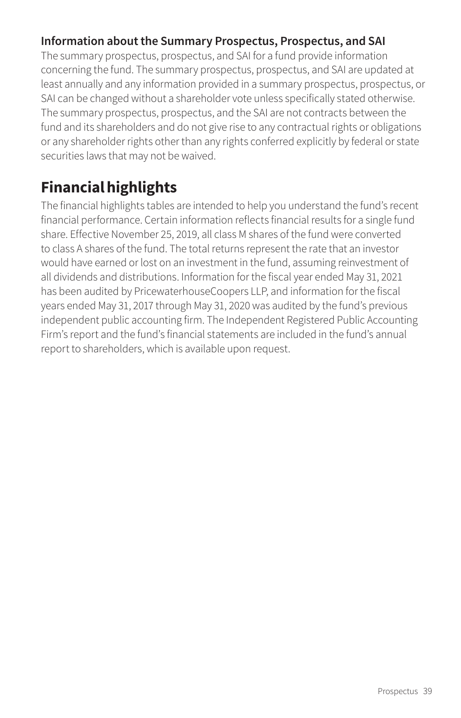## **Information about the Summary Prospectus, Prospectus, and SAI**

The summary prospectus, prospectus, and SAI for a fund provide information concerning the fund. The summary prospectus, prospectus, and SAI are updated at least annually and any information provided in a summary prospectus, prospectus, or SAI can be changed without a shareholder vote unless specifically stated otherwise. The summary prospectus, prospectus, and the SAI are not contracts between the fund and its shareholders and do not give rise to any contractual rights or obligations or any shareholder rights other than any rights conferred explicitly by federal or state securities laws that may not be waived.

# **Financial highlights**

The financial highlights tables are intended to help you understand the fund's recent financial performance. Certain information reflects financial results for a single fund share. Effective November 25, 2019, all class M shares of the fund were converted to class A shares of the fund. The total returns represent the rate that an investor would have earned or lost on an investment in the fund, assuming reinvestment of all dividends and distributions. Information for the fiscal year ended May 31, 2021 has been audited by PricewaterhouseCoopers LLP, and information for the fiscal years ended May 31, 2017 through May 31, 2020 was audited by the fund's previous independent public accounting firm. The Independent Registered Public Accounting Firm's report and the fund's financial statements are included in the fund's annual report to shareholders, which is available upon request.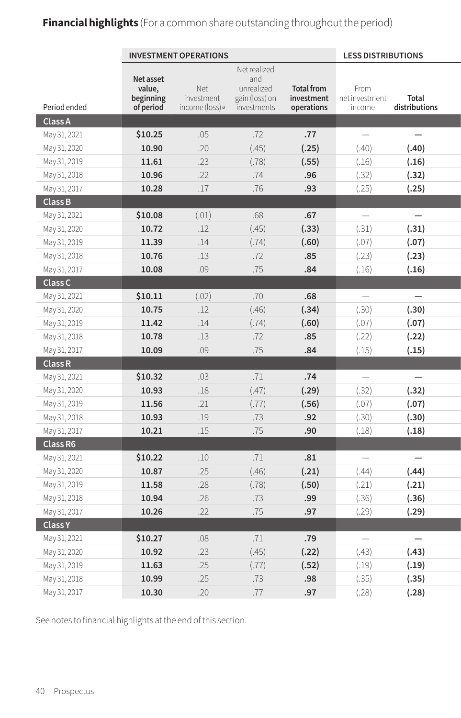# **Financial highlights** (For a common share outstanding throughout the period)

|                |                     | <b>INVESTMENT OPERATIONS</b> |                   |                   | <b>LESS DISTRIBUTIONS</b> |                          |
|----------------|---------------------|------------------------------|-------------------|-------------------|---------------------------|--------------------------|
|                |                     |                              | Net realized      |                   |                           |                          |
|                | Net asset<br>value, | Net                          | and<br>unrealized | <b>Total from</b> | From                      |                          |
|                | beginning           | investment                   | gain (loss) on    | investment        | net investment            | Total                    |
| Period ended   | of period           | income (loss) <sup>a</sup>   | investments       | operations        | income                    | distributions            |
| Class A        |                     |                              |                   |                   |                           |                          |
| May 31, 2021   | \$10.25             | .05                          | .72               | .77               | $\overline{\phantom{m}}$  | $\overline{\phantom{m}}$ |
| May 31, 2020   | 10.90               | .20                          | (.45)             | (.25)             | (.40)                     | (.40)                    |
| May 31, 2019   | 11.61               | .23                          | (.78)             | (.55)             | (.16)                     | (.16)                    |
| May 31, 2018   | 10.96               | .22                          | .74               | .96               | (.32)                     | (.32)                    |
| May 31, 2017   | 10.28               | .17                          | .76               | .93               | (.25)                     | (.25)                    |
| Class B        |                     |                              |                   |                   |                           |                          |
| May 31, 2021   | \$10.08             | (.01)                        | .68               | .67               | $\overline{\phantom{m}}$  | $\overline{\phantom{m}}$ |
| May 31, 2020   | 10.72               | .12                          | (.45)             | (.33)             | (.31)                     | (.31)                    |
| May 31, 2019   | 11.39               | .14                          | (.74)             | (.60)             | (.07)                     | (.07)                    |
| May 31, 2018   | 10.76               | .13                          | .72               | .85               | (.23)                     | (.23)                    |
| May 31, 2017   | 10.08               | .09                          | .75               | .84               | (.16)                     | (.16)                    |
| Class C        |                     |                              |                   |                   |                           |                          |
| May 31, 2021   | \$10.11             | (.02)                        | .70               | .68               | $\overline{\phantom{m}}$  | $\overline{\phantom{m}}$ |
| May 31, 2020   | 10.75               | .12                          | (.46)             | (.34)             | (.30)                     | (.30)                    |
| May 31, 2019   | 11.42               | .14                          | (.74)             | (.60)             | (.07)                     | (.07)                    |
| May 31, 2018   | 10.78               | .13                          | .72               | .85               | (.22)                     | (.22)                    |
| May 31, 2017   | 10.09               | .09                          | .75               | .84               | (.15)                     | (.15)                    |
| Class R        |                     |                              |                   |                   |                           |                          |
| May 31, 2021   | \$10.32             | .03                          | .71               | .74               | $\overline{\phantom{m}}$  | $\overline{\phantom{0}}$ |
| May 31, 2020   | 10.93               | $.18\,$                      | (.47)             | (.29)             | (.32)                     | (.32)                    |
| May 31, 2019   | 11.56               | .21                          | (.77)             | (.56)             | (.07)                     | (.07)                    |
| May 31, 2018   | 10.93               | .19                          | .73               | .92               | (.30)                     | (.30)                    |
| May 31, 2017   | 10.21               | .15                          | .75               | .90               | (.18)                     | (.18)                    |
| Class R6       |                     |                              |                   |                   |                           |                          |
| May 31, 2021   | \$10.22             | .10                          | .71               | .81               | $\overline{\phantom{m}}$  | $\overline{\phantom{0}}$ |
| May 31, 2020   | 10.87               | .25                          | (.46)             | (.21)             | (.44)                     | (.44)                    |
| May 31, 2019   | 11.58               | .28                          | (.78)             | (.50)             | (.21)                     | (.21)                    |
| May 31, 2018   | 10.94               | .26                          | .73               | .99               | (.36)                     | (.36)                    |
| May 31, 2017   | 10.26               | .22                          | .75               | .97               | (.29)                     | (.29)                    |
| <b>Class Y</b> |                     |                              |                   |                   |                           |                          |
| May 31, 2021   | \$10.27             | $.08\,$                      | .71               | .79               | $\overline{\phantom{m}}$  | $\overline{\phantom{0}}$ |
| May 31, 2020   | 10.92               | .23                          | (.45)             | (.22)             | (.43)                     | (.43)                    |
| May 31, 2019   | 11.63               | .25                          | (.77)             | (.52)             | (.19)                     | (.19)                    |
| May 31, 2018   | 10.99               | .25                          | .73               | .98               | (.35)                     | (.35)                    |
| May 31, 2017   | 10.30               | .20                          | .77               | .97               | (.28)                     | (.28)                    |

See notes to financial highlights at the end of this section.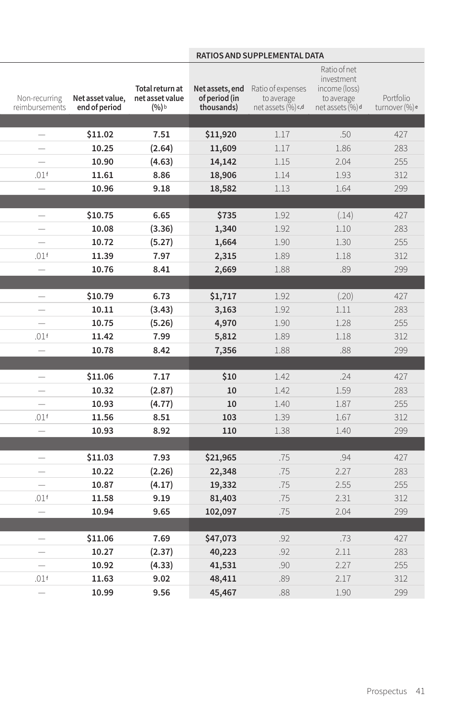# **INVESTMENT OPERATIONS AND SUPPLEMENTAL DATA**

| Net asset value,<br>Non-recurring<br>end of period<br>reimbursements     | Total return at<br>net asset value<br>$(%)$ b | of period (in<br>thousands) | Net assets, end Ratio of expenses<br>to average<br>net assets (%) c,d | Ratio of net<br>investment<br>income (loss)<br>to average<br>net assets (%) d | Portfolio<br>turnover (%)e |
|--------------------------------------------------------------------------|-----------------------------------------------|-----------------------------|-----------------------------------------------------------------------|-------------------------------------------------------------------------------|----------------------------|
|                                                                          |                                               |                             |                                                                       |                                                                               |                            |
| \$11.02<br>$\overline{\phantom{m}}$                                      | 7.51                                          | \$11,920                    | 1.17                                                                  | .50                                                                           | 427                        |
| 10.25<br>$\overline{\phantom{m}}$                                        | (2.64)                                        | 11,609                      | 1.17                                                                  | 1.86                                                                          | 283                        |
| 10.90<br>$\overline{\phantom{m}}$                                        | (4.63)                                        | 14,142                      | $1.15$                                                                | 2.04                                                                          | 255                        |
| .01f<br>11.61                                                            | 8.86                                          | 18,906                      | 1.14                                                                  | 1.93                                                                          | 312                        |
| 10.96<br>$\overline{\phantom{m}}$                                        | 9.18                                          | 18,582                      | 1.13                                                                  | 1.64                                                                          | 299                        |
| \$10.75<br>$\overline{\phantom{m}}$                                      | 6.65                                          | \$735                       | 1.92                                                                  | (.14)                                                                         | 427                        |
| 10.08<br>$\overline{\phantom{m}}$                                        | (3.36)                                        | 1,340                       | 1.92                                                                  | 1.10                                                                          | 283                        |
| 10.72<br>$\overline{\phantom{m}}$                                        | (5.27)                                        | 1,664                       | 1.90                                                                  | 1.30                                                                          | 255                        |
| 11.39<br>.01f                                                            | 7.97                                          | 2,315                       | 1.89                                                                  | 1.18                                                                          | 312                        |
| 10.76<br>$\overline{\phantom{m}}$                                        | 8.41                                          | 2,669                       | 1.88                                                                  | .89                                                                           | 299                        |
|                                                                          |                                               |                             |                                                                       |                                                                               |                            |
| \$10.79<br>$\overline{\phantom{m}}$                                      | 6.73                                          | \$1,717                     | 1.92                                                                  | (.20)                                                                         | 427                        |
| 10.11<br>$\qquad \qquad -$                                               | (3.43)                                        | 3,163                       | 1.92                                                                  | 1.11                                                                          | 283                        |
| 10.75<br>$\qquad \qquad -$                                               | (5.26)                                        | 4,970                       | 1.90                                                                  | 1.28                                                                          | 255                        |
| .01f<br>11.42                                                            | 7.99                                          | 5,812                       | 1.89                                                                  | $1.18\,$                                                                      | 312                        |
| 10.78<br>$\overline{\phantom{m}}$                                        | 8.42                                          | 7,356                       | 1.88                                                                  | .88                                                                           | 299                        |
|                                                                          |                                               |                             |                                                                       |                                                                               |                            |
| \$11.06<br>$\overline{\phantom{m}}$                                      | 7.17                                          | \$10                        | 1.42                                                                  | .24                                                                           | 427                        |
| 10.32<br>$\overline{\phantom{m}}$                                        | (2.87)                                        | 10                          | 1.42                                                                  | 1.59                                                                          | 283                        |
| 10.93<br>$\overline{\phantom{m}}$                                        | (4.77)                                        | 10                          | 1.40                                                                  | 1.87                                                                          | 255                        |
| .01f<br>11.56                                                            | 8.51                                          | 103                         | 1.39                                                                  | 1.67                                                                          | 312                        |
| 10.93<br>$\overline{\phantom{m}}$                                        | 8.92                                          | 110                         | 1.38                                                                  | 1.40                                                                          | 299                        |
|                                                                          |                                               |                             |                                                                       |                                                                               |                            |
| \$11.03<br>$\overline{\phantom{m}}$<br>10.22<br>$\overline{\phantom{m}}$ | 7.93<br>(2.26)                                | \$21,965<br>22,348          | .75<br>.75                                                            | .94<br>2.27                                                                   | 427<br>283                 |
| 10.87<br>$\overline{\phantom{m}}$                                        | (4.17)                                        | 19,332                      | .75                                                                   | 2.55                                                                          | 255                        |
| .01f<br>11.58                                                            | 9.19                                          | 81,403                      | .75                                                                   | 2.31                                                                          | 312                        |
| 10.94<br>$\overline{\phantom{m}}$                                        | 9.65                                          | 102,097                     | .75                                                                   | 2.04                                                                          | 299                        |
|                                                                          |                                               |                             |                                                                       |                                                                               |                            |
| \$11.06<br>$\overline{\phantom{m}}$                                      | 7.69                                          | \$47,073                    | .92                                                                   | .73                                                                           | 427                        |
| 10.27<br>$\qquad \qquad =$                                               | (2.37)                                        | 40,223                      | .92                                                                   | 2.11                                                                          | 283                        |
| 10.92<br>$\overline{\phantom{m}}$                                        | (4.33)                                        | 41,531                      | .90                                                                   | 2.27                                                                          | 255                        |
| .01f<br>11.63                                                            | 9.02                                          | 48,411                      | .89                                                                   | 2.17                                                                          | 312                        |
| 10.99<br>$\frac{1}{2}$                                                   | 9.56                                          | 45,467                      | .88                                                                   | 1.90                                                                          | 299                        |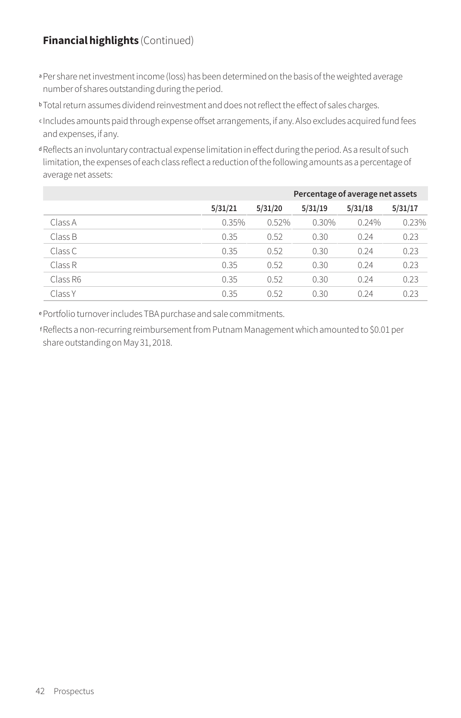#### **Financial highlights** (Continued)

- a Per share net investment income (loss) has been determined on the basis of the weighted average number of shares outstanding during the period.
- **b** Total return assumes dividend reinvestment and does not reflect the effect of sales charges.
- <sup>c</sup> Includes amounts paid through expense offset arrangements, if any. Also excludes acquired fund fees and expenses, if any.
- <sup>d</sup> Reflects an involuntary contractual expense limitation in effect during the period. As a result of such limitation, the expenses of each class reflect a reduction of the following amounts as a percentage of average net assets:

|          |         | Percentage of average net assets |         |         |         |  |  |
|----------|---------|----------------------------------|---------|---------|---------|--|--|
|          | 5/31/21 | 5/31/20                          | 5/31/19 | 5/31/18 | 5/31/17 |  |  |
| Class A  | 0.35%   | 0.52%                            | 0.30%   | 0.24%   | 0.23%   |  |  |
| Class B  | 0.35    | 0.52                             | 0.30    | 0.24    | 0.23    |  |  |
| Class C  | 0.35    | 0.52                             | 0.30    | 0.24    | 0.23    |  |  |
| Class R  | 0.35    | 0.52                             | 0.30    | 0.24    | 0.23    |  |  |
| Class R6 | 0.35    | 0.52                             | 0.30    | 0.24    | 0.23    |  |  |
| Class Y  | 0.35    | 0.52                             | 0.30    | 0.24    | 0.23    |  |  |

<sup>e</sup>Portfolio turnover includes TBA purchase and sale commitments.

fReflects a non-recurring reimbursement from Putnam Management which amounted to \$0.01 per share outstanding on May 31, 2018.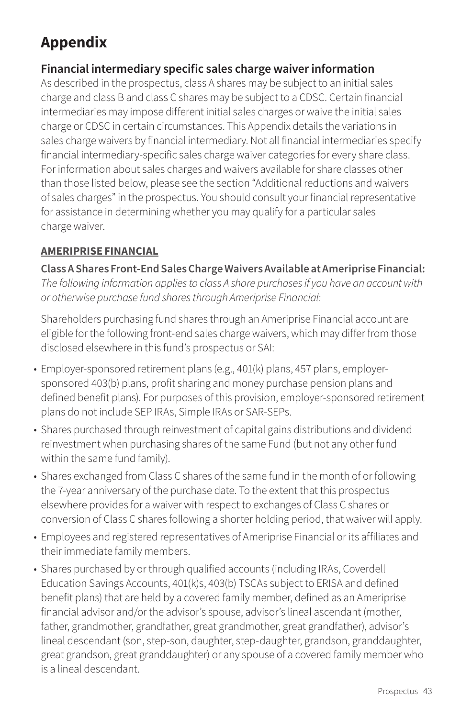# **Appendix**

# **Financial intermediary specific sales charge waiver information**

As described in the prospectus, class A shares may be subject to an initial sales charge and class B and class C shares may be subject to a CDSC. Certain financial intermediaries may impose different initial sales charges or waive the initial sales charge or CDSC in certain circumstances. This Appendix details the variations in sales charge waivers by financial intermediary. Not all financial intermediaries specify financial intermediary-specific sales charge waiver categories for every share class. For information about sales charges and waivers available for share classes other than those listed below, please see the section "Additional reductions and waivers of sales charges" in the prospectus. You should consult your financial representative for assistance in determining whether you may qualify for a particular sales charge waiver.

## **AMERIPRISE FINANCIAL**

**Class A Shares Front-End Sales Charge Waivers Available at Ameriprise Financial:** *The following information applies to class A share purchases if you have an account with or otherwise purchase fund shares through Ameriprise Financial:*

Shareholders purchasing fund shares through an Ameriprise Financial account are eligible for the following front-end sales charge waivers, which may differ from those disclosed elsewhere in this fund's prospectus or SAI:

- Employer-sponsored retirement plans (e.g., 401(k) plans, 457 plans, employersponsored 403(b) plans, profit sharing and money purchase pension plans and defined benefit plans). For purposes of this provision, employer-sponsored retirement plans do not include SEP IRAs, Simple IRAs or SAR-SEPs.
- Shares purchased through reinvestment of capital gains distributions and dividend reinvestment when purchasing shares of the same Fund (but not any other fund within the same fund family).
- Shares exchanged from Class C shares of the same fund in the month of or following the 7-year anniversary of the purchase date. To the extent that this prospectus elsewhere provides for a waiver with respect to exchanges of Class C shares or conversion of Class C shares following a shorter holding period, that waiver will apply.
- Employees and registered representatives of Ameriprise Financial or its affiliates and their immediate family members.
- Shares purchased by or through qualified accounts (including IRAs, Coverdell Education Savings Accounts, 401(k)s, 403(b) TSCAs subject to ERISA and defined benefit plans) that are held by a covered family member, defined as an Ameriprise financial advisor and/or the advisor's spouse, advisor's lineal ascendant (mother, father, grandmother, grandfather, great grandmother, great grandfather), advisor's lineal descendant (son, step-son, daughter, step-daughter, grandson, granddaughter, great grandson, great granddaughter) or any spouse of a covered family member who is a lineal descendant.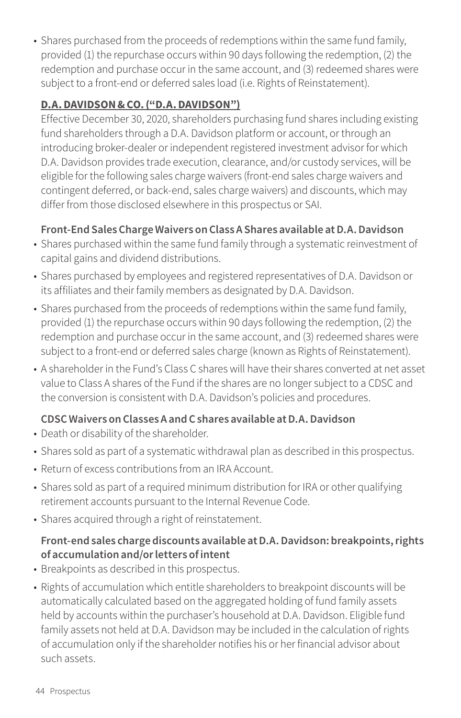• Shares purchased from the proceeds of redemptions within the same fund family, provided (1) the repurchase occurs within 90 days following the redemption, (2) the redemption and purchase occur in the same account, and (3) redeemed shares were subject to a front-end or deferred sales load (i.e. Rights of Reinstatement).

#### **D.A. DAVIDSON & CO. ("D.A. DAVIDSON")**

Effective December 30, 2020, shareholders purchasing fund shares including existing fund shareholders through a D.A. Davidson platform or account, or through an introducing broker-dealer or independent registered investment advisor for which D.A. Davidson provides trade execution, clearance, and/or custody services, will be eligible for the following sales charge waivers (front-end sales charge waivers and contingent deferred, or back-end, sales charge waivers) and discounts, which may differ from those disclosed elsewhere in this prospectus or SAI.

#### **Front-End Sales Charge Waivers on Class A Shares available at D.A. Davidson**

- Shares purchased within the same fund family through a systematic reinvestment of capital gains and dividend distributions.
- Shares purchased by employees and registered representatives of D.A. Davidson or its affiliates and their family members as designated by D.A. Davidson.
- Shares purchased from the proceeds of redemptions within the same fund family, provided (1) the repurchase occurs within 90 days following the redemption, (2) the redemption and purchase occur in the same account, and (3) redeemed shares were subject to a front-end or deferred sales charge (known as Rights of Reinstatement).
- A shareholder in the Fund's Class C shares will have their shares converted at net asset value to Class A shares of the Fund if the shares are no longer subject to a CDSC and the conversion is consistent with D.A. Davidson's policies and procedures.

## **CDSC Waivers on Classes A and C shares available at D.A. Davidson**

- Death or disability of the shareholder.
- Shares sold as part of a systematic withdrawal plan as described in this prospectus.
- Return of excess contributions from an IRA Account.
- Shares sold as part of a required minimum distribution for IRA or other qualifying retirement accounts pursuant to the Internal Revenue Code.
- Shares acquired through a right of reinstatement.

## **Front-end sales charge discounts available at D.A. Davidson: breakpoints, rights of accumulation and/or letters of intent**

- Breakpoints as described in this prospectus.
- Rights of accumulation which entitle shareholders to breakpoint discounts will be automatically calculated based on the aggregated holding of fund family assets held by accounts within the purchaser's household at D.A. Davidson. Eligible fund family assets not held at D.A. Davidson may be included in the calculation of rights of accumulation only if the shareholder notifies his or her financial advisor about such assets.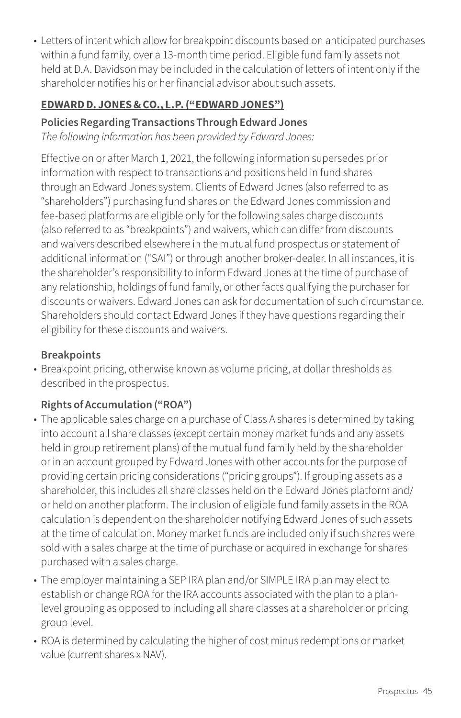• Letters of intent which allow for breakpoint discounts based on anticipated purchases within a fund family, over a 13-month time period. Eligible fund family assets not held at D.A. Davidson may be included in the calculation of letters of intent only if the shareholder notifies his or her financial advisor about such assets.

## **EDWARD D. JONES & CO., L.P. ("EDWARD JONES")**

## **Policies Regarding Transactions Through Edward Jones**

*The following information has been provided by Edward Jones:*

Effective on or after March 1, 2021, the following information supersedes prior information with respect to transactions and positions held in fund shares through an Edward Jones system. Clients of Edward Jones (also referred to as "shareholders") purchasing fund shares on the Edward Jones commission and fee-based platforms are eligible only for the following sales charge discounts (also referred to as "breakpoints") and waivers, which can differ from discounts and waivers described elsewhere in the mutual fund prospectus or statement of additional information ("SAI") or through another broker-dealer. In all instances, it is the shareholder's responsibility to inform Edward Jones at the time of purchase of any relationship, holdings of fund family, or other facts qualifying the purchaser for discounts or waivers. Edward Jones can ask for documentation of such circumstance. Shareholders should contact Edward Jones if they have questions regarding their eligibility for these discounts and waivers.

# **Breakpoints**

• Breakpoint pricing, otherwise known as volume pricing, at dollar thresholds as described in the prospectus.

# **Rights of Accumulation ("ROA")**

- The applicable sales charge on a purchase of Class A shares is determined by taking into account all share classes (except certain money market funds and any assets held in group retirement plans) of the mutual fund family held by the shareholder or in an account grouped by Edward Jones with other accounts for the purpose of providing certain pricing considerations ("pricing groups"). If grouping assets as a shareholder, this includes all share classes held on the Edward Jones platform and/ or held on another platform. The inclusion of eligible fund family assets in the ROA calculation is dependent on the shareholder notifying Edward Jones of such assets at the time of calculation. Money market funds are included only if such shares were sold with a sales charge at the time of purchase or acquired in exchange for shares purchased with a sales charge.
- The employer maintaining a SEP IRA plan and/or SIMPLE IRA plan may elect to establish or change ROA for the IRA accounts associated with the plan to a planlevel grouping as opposed to including all share classes at a shareholder or pricing group level.
- ROA is determined by calculating the higher of cost minus redemptions or market value (current shares x NAV).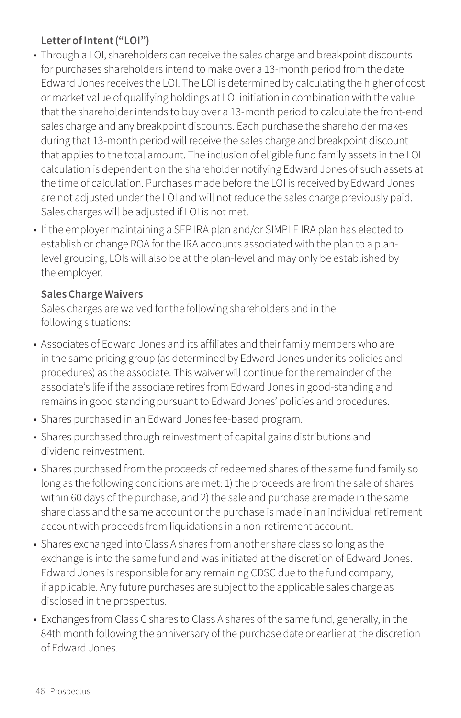#### **Letter of Intent ("LOI")**

- Through a LOI, shareholders can receive the sales charge and breakpoint discounts for purchases shareholders intend to make over a 13-month period from the date Edward Jones receives the LOI. The LOI is determined by calculating the higher of cost or market value of qualifying holdings at LOI initiation in combination with the value that the shareholder intends to buy over a 13-month period to calculate the front-end sales charge and any breakpoint discounts. Each purchase the shareholder makes during that 13-month period will receive the sales charge and breakpoint discount that applies to the total amount. The inclusion of eligible fund family assets in the LOI calculation is dependent on the shareholder notifying Edward Jones of such assets at the time of calculation. Purchases made before the LOI is received by Edward Jones are not adjusted under the LOI and will not reduce the sales charge previously paid. Sales charges will be adjusted if LOI is not met.
- If the employer maintaining a SEP IRA plan and/or SIMPLE IRA plan has elected to establish or change ROA for the IRA accounts associated with the plan to a planlevel grouping, LOIs will also be at the plan-level and may only be established by the employer.

#### **Sales Charge Waivers**

Sales charges are waived for the following shareholders and in the following situations:

- Associates of Edward Jones and its affiliates and their family members who are in the same pricing group (as determined by Edward Jones under its policies and procedures) as the associate. This waiver will continue for the remainder of the associate's life if the associate retires from Edward Jones in good-standing and remains in good standing pursuant to Edward Jones' policies and procedures.
- Shares purchased in an Edward Jones fee-based program.
- Shares purchased through reinvestment of capital gains distributions and dividend reinvestment.
- Shares purchased from the proceeds of redeemed shares of the same fund family so long as the following conditions are met: 1) the proceeds are from the sale of shares within 60 days of the purchase, and 2) the sale and purchase are made in the same share class and the same account or the purchase is made in an individual retirement account with proceeds from liquidations in a non-retirement account.
- Shares exchanged into Class A shares from another share class so long as the exchange is into the same fund and was initiated at the discretion of Edward Jones. Edward Jones is responsible for any remaining CDSC due to the fund company, if applicable. Any future purchases are subject to the applicable sales charge as disclosed in the prospectus.
- Exchanges from Class C shares to Class A shares of the same fund, generally, in the 84th month following the anniversary of the purchase date or earlier at the discretion of Edward Jones.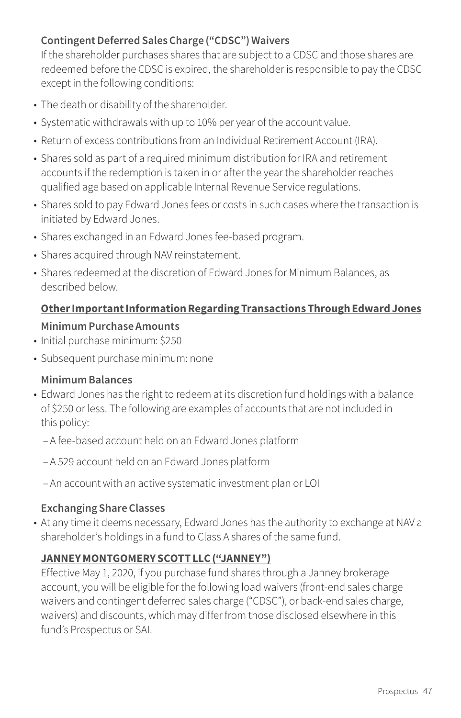#### **Contingent Deferred Sales Charge ("CDSC") Waivers**

If the shareholder purchases shares that are subject to a CDSC and those shares are redeemed before the CDSC is expired, the shareholder is responsible to pay the CDSC except in the following conditions:

- The death or disability of the shareholder.
- Systematic withdrawals with up to 10% per year of the account value.
- Return of excess contributions from an Individual Retirement Account (IRA).
- Shares sold as part of a required minimum distribution for IRA and retirement accounts if the redemption is taken in or after the year the shareholder reaches qualified age based on applicable Internal Revenue Service regulations.
- Shares sold to pay Edward Jones fees or costs in such cases where the transaction is initiated by Edward Jones.
- Shares exchanged in an Edward Jones fee-based program.
- Shares acquired through NAV reinstatement.
- Shares redeemed at the discretion of Edward Jones for Minimum Balances, as described below.

## **Other Important Information Regarding Transactions Through Edward Jones**

#### **Minimum Purchase Amounts**

- Initial purchase minimum: \$250
- Subsequent purchase minimum: none

#### **Minimum Balances**

- Edward Jones has the right to redeem at its discretion fund holdings with a balance of \$250 or less. The following are examples of accounts that are not included in this policy:
	- A fee-based account held on an Edward Jones platform
	- A 529 account held on an Edward Jones platform
	- An account with an active systematic investment plan or LOI

#### **Exchanging Share Classes**

• At any time it deems necessary, Edward Jones has the authority to exchange at NAV a shareholder's holdings in a fund to Class A shares of the same fund.

#### **JANNEY MONTGOMERY SCOTT LLC ("JANNEY")**

Effective May 1, 2020, if you purchase fund shares through a Janney brokerage account, you will be eligible for the following load waivers (front-end sales charge waivers and contingent deferred sales charge ("CDSC"), or back-end sales charge, waivers) and discounts, which may differ from those disclosed elsewhere in this fund's Prospectus or SAI.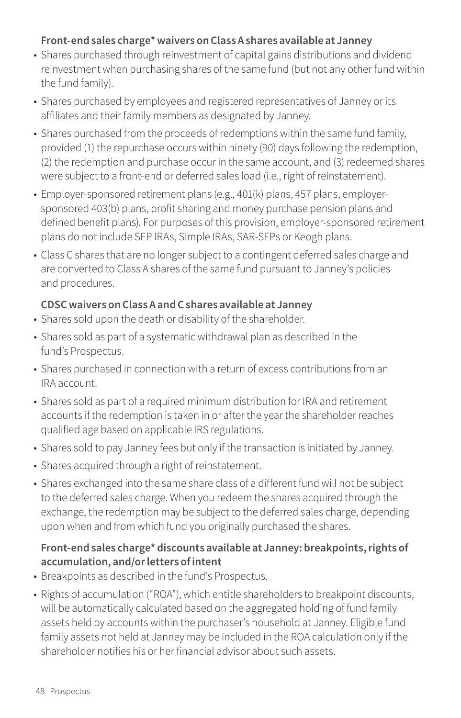#### **Front-end sales charge\* waivers on Class A shares available at Janney**

- Shares purchased through reinvestment of capital gains distributions and dividend reinvestment when purchasing shares of the same fund (but not any other fund within the fund family).
- Shares purchased by employees and registered representatives of Janney or its affiliates and their family members as designated by Janney.
- Shares purchased from the proceeds of redemptions within the same fund family, provided (1) the repurchase occurs within ninety (90) days following the redemption, (2) the redemption and purchase occur in the same account, and (3) redeemed shares were subject to a front-end or deferred sales load (i.e., right of reinstatement).
- Employer-sponsored retirement plans (e.g., 401(k) plans, 457 plans, employersponsored 403(b) plans, profit sharing and money purchase pension plans and defined benefit plans). For purposes of this provision, employer-sponsored retirement plans do not include SEP IRAs, Simple IRAs, SAR-SEPs or Keogh plans.
- Class C shares that are no longer subject to a contingent deferred sales charge and are converted to Class A shares of the same fund pursuant to Janney's policies and procedures.

#### **CDSC waivers on Class A and C shares available at Janney**

- Shares sold upon the death or disability of the shareholder.
- Shares sold as part of a systematic withdrawal plan as described in the fund's Prospectus.
- Shares purchased in connection with a return of excess contributions from an IRA account.
- Shares sold as part of a required minimum distribution for IRA and retirement accounts if the redemption is taken in or after the year the shareholder reaches qualified age based on applicable IRS regulations.
- Shares sold to pay Janney fees but only if the transaction is initiated by Janney.
- Shares acquired through a right of reinstatement.
- Shares exchanged into the same share class of a different fund will not be subject to the deferred sales charge. When you redeem the shares acquired through the exchange, the redemption may be subject to the deferred sales charge, depending upon when and from which fund you originally purchased the shares.

#### **Front-end sales charge\* discounts available at Janney: breakpoints, rights of accumulation, and/or letters of intent**

- Breakpoints as described in the fund's Prospectus.
- Rights of accumulation ("ROA"), which entitle shareholders to breakpoint discounts, will be automatically calculated based on the aggregated holding of fund family assets held by accounts within the purchaser's household at Janney. Eligible fund family assets not held at Janney may be included in the ROA calculation only if the shareholder notifies his or her financial advisor about such assets.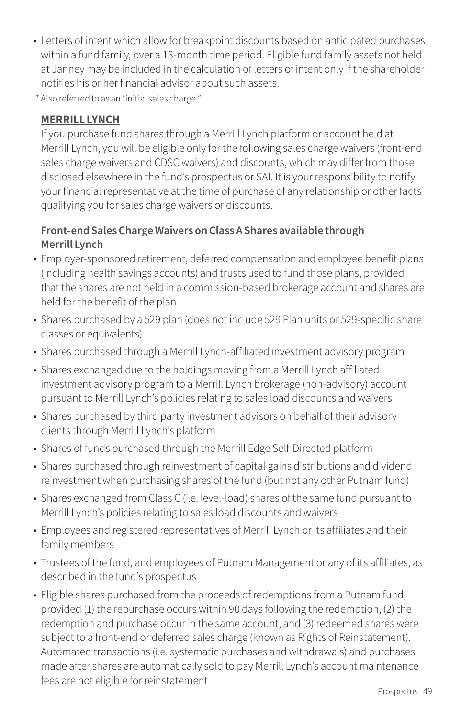- Letters of intent which allow for breakpoint discounts based on anticipated purchases within a fund family, over a 13-month time period. Eligible fund family assets not held at Janney may be included in the calculation of letters of intent only if the shareholder notifies his or her financial advisor about such assets.
- \* Also referred to as an "initial sales charge."

#### **MERRILL LYNCH**

If you purchase fund shares through a Merrill Lynch platform or account held at Merrill Lynch, you will be eligible only for the following sales charge waivers (front-end sales charge waivers and CDSC waivers) and discounts, which may differ from those disclosed elsewhere in the fund's prospectus or SAI. It is your responsibility to notify your financial representative at the time of purchase of any relationship or other facts qualifying you for sales charge waivers or discounts.

#### **Front-end Sales Charge Waivers on Class A Shares available through Merrill Lynch**

- Employer-sponsored retirement, deferred compensation and employee benefit plans (including health savings accounts) and trusts used to fund those plans, provided that the shares are not held in a commission-based brokerage account and shares are held for the benefit of the plan
- Shares purchased by a 529 plan (does not include 529 Plan units or 529-specific share classes or equivalents)
- Shares purchased through a Merrill Lynch-affiliated investment advisory program
- Shares exchanged due to the holdings moving from a Merrill Lynch affiliated investment advisory program to a Merrill Lynch brokerage (non-advisory) account pursuant to Merrill Lynch's policies relating to sales load discounts and waivers
- Shares purchased by third party investment advisors on behalf of their advisory clients through Merrill Lynch's platform
- Shares of funds purchased through the Merrill Edge Self-Directed platform
- Shares purchased through reinvestment of capital gains distributions and dividend reinvestment when purchasing shares of the fund (but not any other Putnam fund)
- Shares exchanged from Class C (i.e. level-load) shares of the same fund pursuant to Merrill Lynch's policies relating to sales load discounts and waivers
- Employees and registered representatives of Merrill Lynch or its affiliates and their family members
- Trustees of the fund, and employees of Putnam Management or any of its affiliates, as described in the fund's prospectus
- Eligible shares purchased from the proceeds of redemptions from a Putnam fund, provided (1) the repurchase occurs within 90 days following the redemption, (2) the redemption and purchase occur in the same account, and (3) redeemed shares were subject to a front-end or deferred sales charge (known as Rights of Reinstatement). Automated transactions (i.e. systematic purchases and withdrawals) and purchases made after shares are automatically sold to pay Merrill Lynch's account maintenance fees are not eligible for reinstatement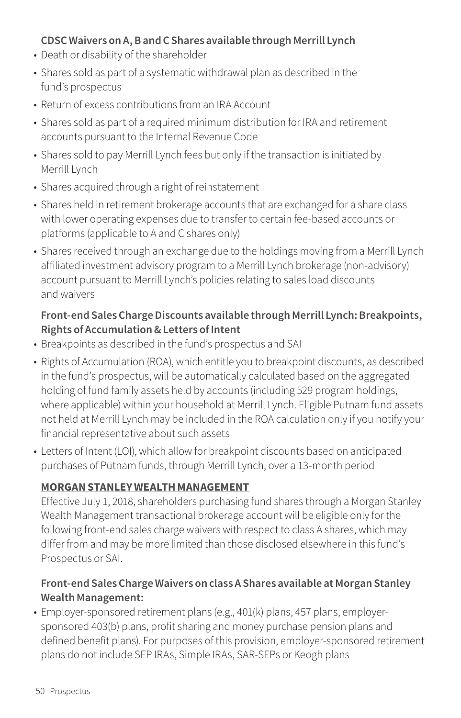#### **CDSC Waivers on A, B and C Shares available through Merrill Lynch**

- Death or disability of the shareholder
- Shares sold as part of a systematic withdrawal plan as described in the fund's prospectus
- Return of excess contributions from an IRA Account
- Shares sold as part of a required minimum distribution for IRA and retirement accounts pursuant to the Internal Revenue Code
- Shares sold to pay Merrill Lynch fees but only if the transaction is initiated by Merrill Lynch
- Shares acquired through a right of reinstatement
- Shares held in retirement brokerage accounts that are exchanged for a share class with lower operating expenses due to transfer to certain fee-based accounts or platforms (applicable to A and C shares only)
- Shares received through an exchange due to the holdings moving from a Merrill Lynch affiliated investment advisory program to a Merrill Lynch brokerage (non-advisory) account pursuant to Merrill Lynch's policies relating to sales load discounts and waivers

#### **Front-end Sales Charge Discounts available through Merrill Lynch: Breakpoints, Rights of Accumulation & Letters of Intent**

- Breakpoints as described in the fund's prospectus and SAI
- Rights of Accumulation (ROA), which entitle you to breakpoint discounts, as described in the fund's prospectus, will be automatically calculated based on the aggregated holding of fund family assets held by accounts (including 529 program holdings, where applicable) within your household at Merrill Lynch. Eligible Putnam fund assets not held at Merrill Lynch may be included in the ROA calculation only if you notify your financial representative about such assets
- Letters of Intent (LOI), which allow for breakpoint discounts based on anticipated purchases of Putnam funds, through Merrill Lynch, over a 13-month period

#### **MORGAN STANLEY WEALTH MANAGEMENT**

Effective July 1, 2018, shareholders purchasing fund shares through a Morgan Stanley Wealth Management transactional brokerage account will be eligible only for the following front-end sales charge waivers with respect to class A shares, which may differ from and may be more limited than those disclosed elsewhere in this fund's Prospectus or SAI.

#### **Front-end Sales Charge Waivers on class A Shares available at Morgan Stanley Wealth Management:**

• Employer-sponsored retirement plans (e.g., 401(k) plans, 457 plans, employersponsored 403(b) plans, profit sharing and money purchase pension plans and defined benefit plans). For purposes of this provision, employer-sponsored retirement plans do not include SEP IRAs, Simple IRAs, SAR-SEPs or Keogh plans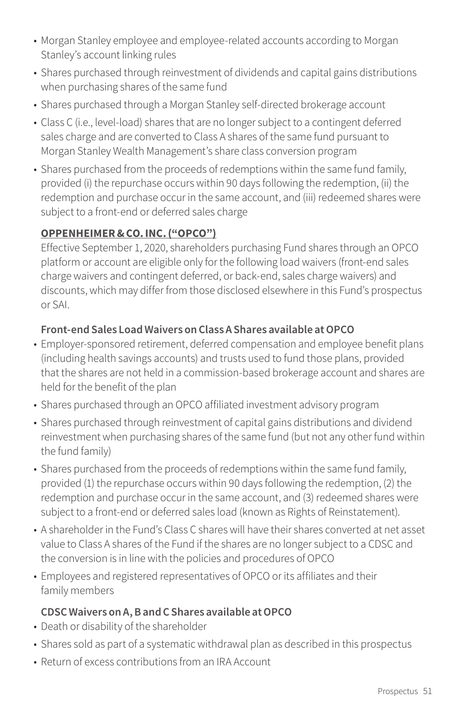- Morgan Stanley employee and employee-related accounts according to Morgan Stanley's account linking rules
- Shares purchased through reinvestment of dividends and capital gains distributions when purchasing shares of the same fund
- Shares purchased through a Morgan Stanley self-directed brokerage account
- Class C (i.e., level-load) shares that are no longer subject to a contingent deferred sales charge and are converted to Class A shares of the same fund pursuant to Morgan Stanley Wealth Management's share class conversion program
- Shares purchased from the proceeds of redemptions within the same fund family, provided (i) the repurchase occurs within 90 days following the redemption, (ii) the redemption and purchase occur in the same account, and (iii) redeemed shares were subject to a front-end or deferred sales charge

#### **OPPENHEIMER & CO. INC. ("OPCO")**

Effective September 1, 2020, shareholders purchasing Fund shares through an OPCO platform or account are eligible only for the following load waivers (front-end sales charge waivers and contingent deferred, or back-end, sales charge waivers) and discounts, which may differ from those disclosed elsewhere in this Fund's prospectus or SAI.

#### **Front-end Sales Load Waivers on Class A Shares available at OPCO**

- Employer-sponsored retirement, deferred compensation and employee benefit plans (including health savings accounts) and trusts used to fund those plans, provided that the shares are not held in a commission-based brokerage account and shares are held for the benefit of the plan
- Shares purchased through an OPCO affiliated investment advisory program
- Shares purchased through reinvestment of capital gains distributions and dividend reinvestment when purchasing shares of the same fund (but not any other fund within the fund family)
- Shares purchased from the proceeds of redemptions within the same fund family, provided (1) the repurchase occurs within 90 days following the redemption, (2) the redemption and purchase occur in the same account, and (3) redeemed shares were subject to a front-end or deferred sales load (known as Rights of Reinstatement).
- A shareholder in the Fund's Class C shares will have their shares converted at net asset value to Class A shares of the Fund if the shares are no longer subject to a CDSC and the conversion is in line with the policies and procedures of OPCO
- Employees and registered representatives of OPCO or its affiliates and their family members

#### **CDSC Waivers on A, B and C Shares available at OPCO**

- Death or disability of the shareholder
- Shares sold as part of a systematic withdrawal plan as described in this prospectus
- Return of excess contributions from an IRA Account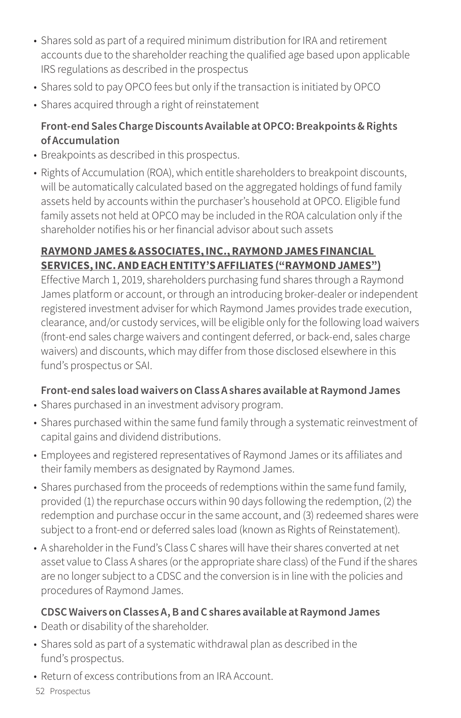- Shares sold as part of a required minimum distribution for IRA and retirement accounts due to the shareholder reaching the qualified age based upon applicable IRS regulations as described in the prospectus
- Shares sold to pay OPCO fees but only if the transaction is initiated by OPCO
- Shares acquired through a right of reinstatement

## **Front-end Sales Charge Discounts Available at OPCO: Breakpoints & Rights of Accumulation**

- Breakpoints as described in this prospectus.
- Rights of Accumulation (ROA), which entitle shareholders to breakpoint discounts, will be automatically calculated based on the aggregated holdings of fund family assets held by accounts within the purchaser's household at OPCO. Eligible fund family assets not held at OPCO may be included in the ROA calculation only if the shareholder notifies his or her financial advisor about such assets

## **RAYMOND JAMES & ASSOCIATES, INC., RAYMOND JAMES FINANCIAL SERVICES, INC. AND EACH ENTITY'S AFFILIATES ("RAYMOND JAMES")**

Effective March 1, 2019, shareholders purchasing fund shares through a Raymond James platform or account, or through an introducing broker-dealer or independent registered investment adviser for which Raymond James provides trade execution, clearance, and/or custody services, will be eligible only for the following load waivers (front-end sales charge waivers and contingent deferred, or back-end, sales charge waivers) and discounts, which may differ from those disclosed elsewhere in this fund's prospectus or SAI.

## **Front-end sales load waivers on Class A shares available at Raymond James**

- Shares purchased in an investment advisory program.
- Shares purchased within the same fund family through a systematic reinvestment of capital gains and dividend distributions.
- Employees and registered representatives of Raymond James or its affiliates and their family members as designated by Raymond James.
- Shares purchased from the proceeds of redemptions within the same fund family, provided (1) the repurchase occurs within 90 days following the redemption, (2) the redemption and purchase occur in the same account, and (3) redeemed shares were subject to a front-end or deferred sales load (known as Rights of Reinstatement).
- A shareholder in the Fund's Class C shares will have their shares converted at net asset value to Class A shares (or the appropriate share class) of the Fund if the shares are no longer subject to a CDSC and the conversion is in line with the policies and procedures of Raymond James.

## **CDSC Waivers on Classes A, B and C shares available at Raymond James**

- Death or disability of the shareholder.
- Shares sold as part of a systematic withdrawal plan as described in the fund's prospectus.
- Return of excess contributions from an IRA Account.
- 52 Prospectus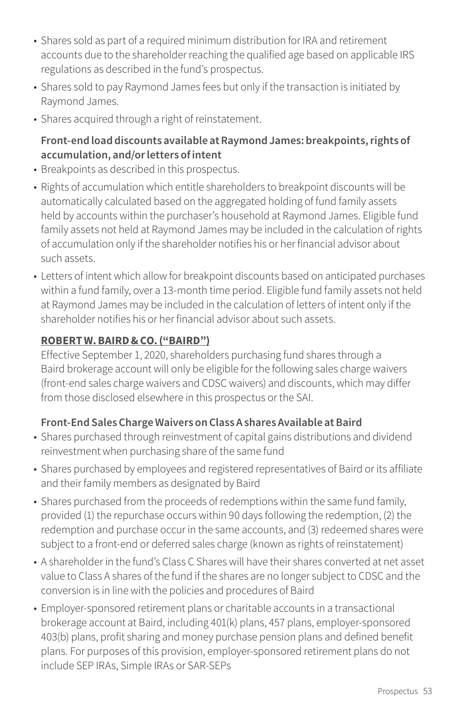- Shares sold as part of a required minimum distribution for IRA and retirement accounts due to the shareholder reaching the qualified age based on applicable IRS regulations as described in the fund's prospectus.
- Shares sold to pay Raymond James fees but only if the transaction is initiated by Raymond James.
- Shares acquired through a right of reinstatement.

#### **Front-end load discounts available at Raymond James: breakpoints, rights of accumulation, and/or letters of intent**

- Breakpoints as described in this prospectus.
- Rights of accumulation which entitle shareholders to breakpoint discounts will be automatically calculated based on the aggregated holding of fund family assets held by accounts within the purchaser's household at Raymond James. Eligible fund family assets not held at Raymond James may be included in the calculation of rights of accumulation only if the shareholder notifies his or her financial advisor about such assets.
- Letters of intent which allow for breakpoint discounts based on anticipated purchases within a fund family, over a 13-month time period. Eligible fund family assets not held at Raymond James may be included in the calculation of letters of intent only if the shareholder notifies his or her financial advisor about such assets.

#### **ROBERT W. BAIRD & CO. ("BAIRD")**

Effective September 1, 2020, shareholders purchasing fund shares through a Baird brokerage account will only be eligible for the following sales charge waivers (front-end sales charge waivers and CDSC waivers) and discounts, which may differ from those disclosed elsewhere in this prospectus or the SAI.

#### **Front-End Sales Charge Waivers on Class A shares Available at Baird**

- Shares purchased through reinvestment of capital gains distributions and dividend reinvestment when purchasing share of the same fund
- Shares purchased by employees and registered representatives of Baird or its affiliate and their family members as designated by Baird
- Shares purchased from the proceeds of redemptions within the same fund family, provided (1) the repurchase occurs within 90 days following the redemption, (2) the redemption and purchase occur in the same accounts, and (3) redeemed shares were subject to a front-end or deferred sales charge (known as rights of reinstatement)
- A shareholder in the fund's Class C Shares will have their shares converted at net asset value to Class A shares of the fund if the shares are no longer subject to CDSC and the conversion is in line with the policies and procedures of Baird
- Employer-sponsored retirement plans or charitable accounts in a transactional brokerage account at Baird, including 401(k) plans, 457 plans, employer-sponsored 403(b) plans, profit sharing and money purchase pension plans and defined benefit plans. For purposes of this provision, employer-sponsored retirement plans do not include SEP IRAs, Simple IRAs or SAR-SEPs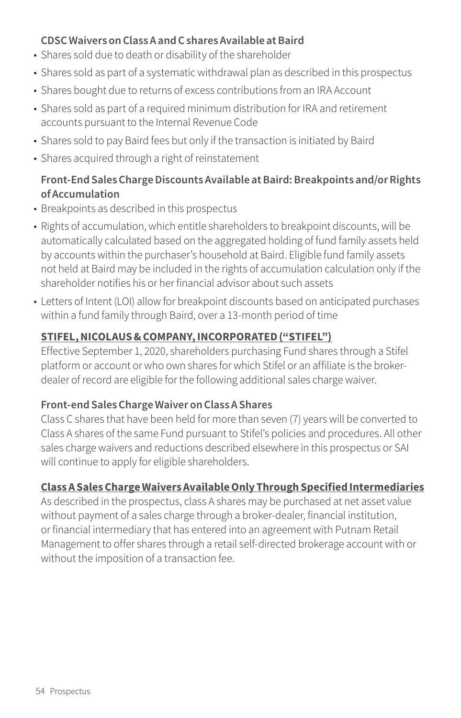#### **CDSC Waivers on Class A and C shares Available at Baird**

- Shares sold due to death or disability of the shareholder
- Shares sold as part of a systematic withdrawal plan as described in this prospectus
- Shares bought due to returns of excess contributions from an IRA Account
- Shares sold as part of a required minimum distribution for IRA and retirement accounts pursuant to the Internal Revenue Code
- Shares sold to pay Baird fees but only if the transaction is initiated by Baird
- Shares acquired through a right of reinstatement

#### **Front-End Sales Charge Discounts Available at Baird: Breakpoints and/or Rights of Accumulation**

- Breakpoints as described in this prospectus
- Rights of accumulation, which entitle shareholders to breakpoint discounts, will be automatically calculated based on the aggregated holding of fund family assets held by accounts within the purchaser's household at Baird. Eligible fund family assets not held at Baird may be included in the rights of accumulation calculation only if the shareholder notifies his or her financial advisor about such assets
- Letters of Intent (LOI) allow for breakpoint discounts based on anticipated purchases within a fund family through Baird, over a 13-month period of time

## **STIFEL, NICOLAUS & COMPANY, INCORPORATED ("STIFEL")**

Effective September 1, 2020, shareholders purchasing Fund shares through a Stifel platform or account or who own shares for which Stifel or an affiliate is the brokerdealer of record are eligible for the following additional sales charge waiver.

#### **Front-end Sales Charge Waiver on Class A Shares**

Class C shares that have been held for more than seven (7) years will be converted to Class A shares of the same Fund pursuant to Stifel's policies and procedures. All other sales charge waivers and reductions described elsewhere in this prospectus or SAI will continue to apply for eligible shareholders.

## **Class A Sales Charge Waivers Available Only Through Specified Intermediaries**

As described in the prospectus, class A shares may be purchased at net asset value without payment of a sales charge through a broker-dealer, financial institution, or financial intermediary that has entered into an agreement with Putnam Retail Management to offer shares through a retail self-directed brokerage account with or without the imposition of a transaction fee.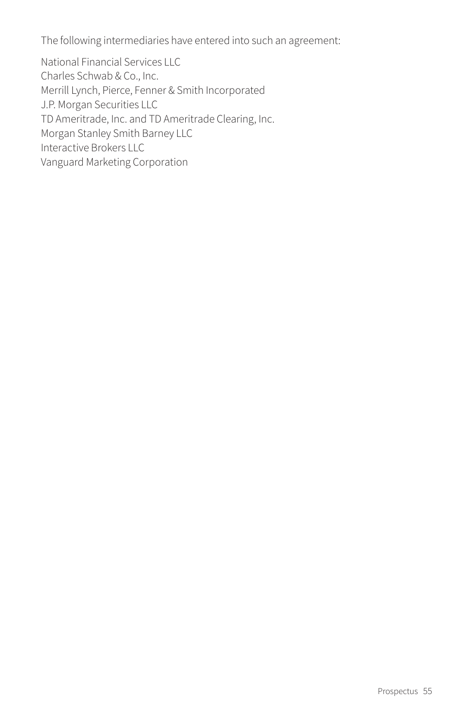The following intermediaries have entered into such an agreement:

National Financial Services LLC Charles Schwab & Co., Inc. Merrill Lynch, Pierce, Fenner & Smith Incorporated J.P. Morgan Securities LLC TD Ameritrade, Inc. and TD Ameritrade Clearing, Inc. Morgan Stanley Smith Barney LLC Interactive Brokers LLC Vanguard Marketing Corporation